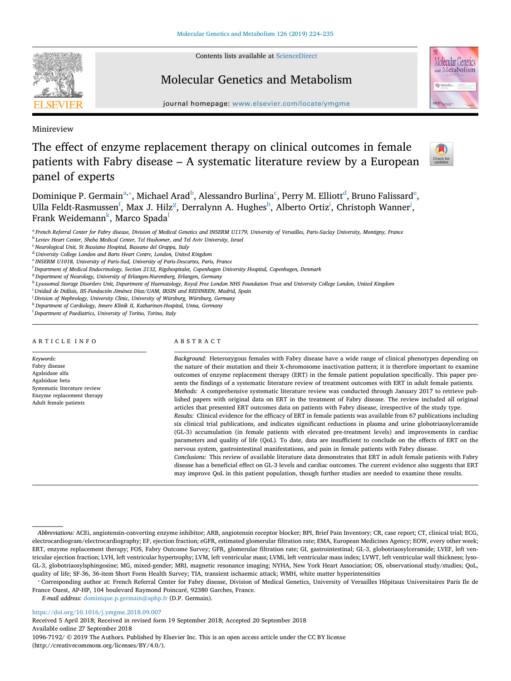Contents lists available at [ScienceDirect](http://www.sciencedirect.com/science/journal/10967192)



## Molecular Genetics and Metabolism



journal homepage: [www.elsevier.com/locate/ymgme](https://www.elsevier.com/locate/ymgme)

Minireview

# The effect of enzyme replacement therapy on clinical outcomes in female patients with Fabry disease – A systematic literature review by a European panel of experts



Dominique P. Germain $^{\rm a, *},$  $^{\rm a, *},$  $^{\rm a, *},$  Mi[c](#page-0-3)hael Ara[d](#page-0-4) $^{\rm b}$  $^{\rm b}$  $^{\rm b}$ , Alessandro Burlina $^{\rm c}$ , Perry M. Elliott $^{\rm d}$ , Bruno Falissard $^{\rm e}$ , Ulla Feldt-Rasmussen<sup>[f](#page-0-6)</sup>, Max J. Hilz<sup>[g](#page-0-7)</sup>, Derralynn A. Hug[h](#page-0-8)es<sup>h</sup>, Alberto Ort[i](#page-0-9)z<sup>i</sup>, Christoph Wanner<sup>[j](#page-0-10)</sup>, Fran[k](#page-0-11) Weidemann<sup>k</sup>, Marco Spada<sup>[l](#page-0-12)</sup>

<span id="page-0-0"></span><sup>a</sup> *French Referral Center for Fabry disease, Division of Medical Genetics and INSERM U1179, University of Versailles, Paris-Saclay University, Montigny, France*

<span id="page-0-2"></span><sup>b</sup> *Leviev Heart Center, Sheba Medical Center, Tel Hashomer, and Tel Aviv University, Israel*

<span id="page-0-7"></span><sup>g</sup> *Department of Neurology, University of Erlangen-Nuremberg, Erlangen, Germany*

<span id="page-0-8"></span><sup>h</sup> *Lysosomal Storage Disorders Unit, Department of Haematology, Royal Free London NHS Foundation Trust and University College London, United Kingdom*

<span id="page-0-9"></span>i *Unidad de Diálisis, IIS-Fundación Jiménez Díaz/UAM, IRSIN and REDINREN, Madrid, Spain*

<span id="page-0-10"></span>j *Division of Nephrology, University Clinic, University of Würzburg, Würzburg, Germany*

<span id="page-0-12"></span>l *Department of Paediatrics, University of Torino, Torino, Italy*

#### ARTICLE INFO

*Keywords:* Fabry disease Agalsidase alfa Agalsidase beta Systematic literature review Enzyme replacement therapy Adult female patients

## ABSTRACT

*Background:* Heterozygous females with Fabry disease have a wide range of clinical phenotypes depending on the nature of their mutation and their X-chromosome inactivation pattern; it is therefore important to examine outcomes of enzyme replacement therapy (ERT) in the female patient population specifically. This paper presents the findings of a systematic literature review of treatment outcomes with ERT in adult female patients. *Methods:* A comprehensive systematic literature review was conducted through January 2017 to retrieve published papers with original data on ERT in the treatment of Fabry disease. The review included all original articles that presented ERT outcomes data on patients with Fabry disease, irrespective of the study type. *Results:* Clinical evidence for the efficacy of ERT in female patients was available from 67 publications including six clinical trial publications, and indicates significant reductions in plasma and urine globotriaosylceramide (GL-3) accumulation (in female patients with elevated pre-treatment levels) and improvements in cardiac parameters and quality of life (QoL). To date, data are insufficient to conclude on the effects of ERT on the nervous system, gastrointestinal manifestations, and pain in female patients with Fabry disease. *Conclusions:* This review of available literature data demonstrates that ERT in adult female patients with Fabry disease has a beneficial effect on GL-3 levels and cardiac outcomes. The current evidence also suggests that ERT may improve QoL in this patient population, though further studies are needed to examine these results.

*E-mail address:* [dominique.p.germain@aphp.fr](mailto:dominique.p.germain@aphp.fr) (D.P. Germain).

<https://doi.org/10.1016/j.ymgme.2018.09.007>

Received 5 April 2018; Received in revised form 19 September 2018; Accepted 20 September 2018 Available online 27 September 2018

1096-7192/ © 2019 The Authors. Published by Elsevier Inc. This is an open access article under the CC BY license (http://creativecommons.org/licenses/BY/4.0/).

<span id="page-0-3"></span><sup>c</sup> *Neurological Unit, St Bassiano Hospital, Bassano del Grappa, Italy*

<span id="page-0-4"></span><sup>d</sup> *University College London and Barts Heart Centre, London, United Kingdom*

<span id="page-0-5"></span><sup>e</sup> *INSERM U1018, University of Paris-Sud, University of Paris-Descartes, Paris, France*

<span id="page-0-6"></span>f *Department of Medical Endocrinology, Section 2132, Rigshospitalet, Copenhagen University Hospital, Copenhagen, Denmark*

<span id="page-0-11"></span><sup>k</sup> *Department of Cardiology, Innere Klinik II, Katharinen-Hospital, Unna, Germany*

*Abbreviations:* ACEi, angiotensin-converting enzyme inhibitor; ARB, angiotensin receptor blocker; BPI, Brief Pain Inventory; CR, case report; CT, clinical trial; ECG, electrocardiogram/electrocardiography; EF, ejection fraction; eGFR, estimated glomerular filtration rate; EMA, European Medicines Agency; EOW, every other week; ERT, enzyme replacement therapy; FOS, Fabry Outcome Survey; GFR, glomerular filtration rate; GI, gastrointestinal; GL-3, globotriaosylceramide; LVEF, left ventricular ejection fraction; LVH, left ventricular hypertrophy; LVM, left ventricular mass; LVMi, left ventricular mass index; LVWT, left ventricular wall thickness; lyso-GL-3, globotriaosylsphingosine; MG, mixed-gender; MRI, magnetic resonance imaging; NYHA, New York Heart Association; OS, observational study/studies; QoL, quality of life; SF-36, 36-item Short Form Health Survey; TIA, transient ischaemic attack; WMH, white matter hyperintensities

<span id="page-0-1"></span><sup>⁎</sup> Corresponding author at: French Referral Center for Fabry disease, Division of Medical Genetics, University of Versailles Hôpitaux Universitaires Paris Ile de France Ouest, AP-HP, 104 boulevard Raymond Poincaré, 92380 Garches, France.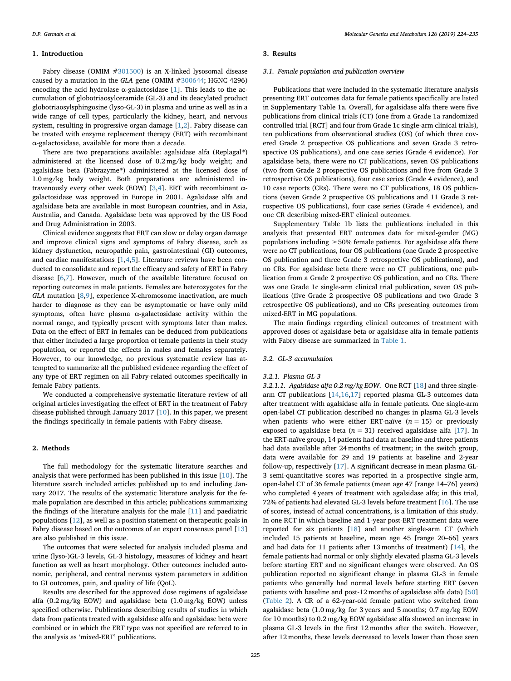#### **1. Introduction**

Fabry disease (OMIM [#301500](http://omim.org/entry/301500)) is an X-linked lysosomal disease caused by a mutation in the *GLA* gene (OMIM [#300644;](http://omim.org/entry/300644) HGNC 4296) encoding the acid hydrolase  $\alpha$ -galactosidase [\[1\]](#page-10-0). This leads to the accumulation of globotriaosylceramide (GL-3) and its deacylated product globotriaosylsphingosine (lyso-GL-3) in plasma and urine as well as in a wide range of cell types, particularly the kidney, heart, and nervous system, resulting in progressive organ damage [\[1,](#page-10-0)[2](#page-10-1)]. Fabry disease can be treated with enzyme replacement therapy (ERT) with recombinant α-galactosidase, available for more than a decade.

There are two preparations available: agalsidase alfa (Replagal®) administered at the licensed dose of 0.2 mg/kg body weight; and agalsidase beta (Fabrazyme®) administered at the licensed dose of 1.0 mg/kg body weight. Both preparations are administered in-travenously every other week (EOW) [\[3,](#page-10-2)[4](#page-10-3)]. ERT with recombinant  $α$ galactosidase was approved in Europe in 2001. Agalsidase alfa and agalsidase beta are available in most European countries, and in Asia, Australia, and Canada. Agalsidase beta was approved by the US Food and Drug Administration in 2003.

Clinical evidence suggests that ERT can slow or delay organ damage and improve clinical signs and symptoms of Fabry disease, such as kidney dysfunction, neuropathic pain, gastrointestinal (GI) outcomes, and cardiac manifestations  $[1,4,5]$  $[1,4,5]$  $[1,4,5]$  $[1,4,5]$  $[1,4,5]$ . Literature reviews have been conducted to consolidate and report the efficacy and safety of ERT in Fabry disease [[6](#page-10-5),[7](#page-10-6)]. However, much of the available literature focused on reporting outcomes in male patients. Females are heterozygotes for the *GLA* mutation [\[8,](#page-10-7)[9](#page-10-8)], experience X-chromosome inactivation, are much harder to diagnose as they can be asymptomatic or have only mild symptoms, often have plasma α-galactosidase activity within the normal range, and typically present with symptoms later than males. Data on the effect of ERT in females can be deduced from publications that either included a large proportion of female patients in their study population, or reported the effects in males and females separately. However, to our knowledge, no previous systematic review has attempted to summarize all the published evidence regarding the effect of any type of ERT regimen on all Fabry-related outcomes specifically in female Fabry patients.

We conducted a comprehensive systematic literature review of all original articles investigating the effect of ERT in the treatment of Fabry disease published through January 2017 [\[10](#page-10-9)]. In this paper, we present the findings specifically in female patients with Fabry disease.

#### **2. Methods**

The full methodology for the systematic literature searches and analysis that were performed has been published in this issue [[10\]](#page-10-9). The literature search included articles published up to and including January 2017. The results of the systematic literature analysis for the female population are described in this article; publications summarizing the findings of the literature analysis for the male [\[11](#page-10-10)] and paediatric populations [\[12](#page-10-11)], as well as a position statement on therapeutic goals in Fabry disease based on the outcomes of an expert consensus panel [\[13](#page-10-12)] are also published in this issue.

The outcomes that were selected for analysis included plasma and urine (lyso-)GL-3 levels, GL-3 histology, measures of kidney and heart function as well as heart morphology. Other outcomes included autonomic, peripheral, and central nervous system parameters in addition to GI outcomes, pain, and quality of life (QoL).

Results are described for the approved dose regimens of agalsidase alfa (0.2 mg/kg EOW) and agalsidase beta (1.0 mg/kg EOW) unless specified otherwise. Publications describing results of studies in which data from patients treated with agalsidase alfa and agalsidase beta were combined or in which the ERT type was not specified are referred to in the analysis as 'mixed-ERT' publications.

#### **3. Results**

#### *3.1. Female population and publication overview*

Publications that were included in the systematic literature analysis presenting ERT outcomes data for female patients specifically are listed in Supplementary Table 1a. Overall, for agalsidase alfa there were five publications from clinical trials (CT) (one from a Grade 1a randomized controlled trial [RCT] and four from Grade 1c single-arm clinical trials), ten publications from observational studies (OS) (of which three covered Grade 2 prospective OS publications and seven Grade 3 retrospective OS publications), and one case series (Grade 4 evidence). For agalsidase beta, there were no CT publications, seven OS publications (two from Grade 2 prospective OS publications and five from Grade 3 retrospective OS publications), four case series (Grade 4 evidence), and 10 case reports (CRs). There were no CT publications, 18 OS publications (seven Grade 2 prospective OS publications and 11 Grade 3 retrospective OS publications), four case series (Grade 4 evidence), and one CR describing mixed-ERT clinical outcomes.

Supplementary Table 1b lists the publications included in this analysis that presented ERT outcomes data for mixed-gender (MG) populations including  $\geq$  50% female patients. For agalsidase alfa there were no CT publications, four OS publications (one Grade 2 prospective OS publication and three Grade 3 retrospective OS publications), and no CRs. For agalsidase beta there were no CT publications, one publication from a Grade 2 prospective OS publication, and no CRs. There was one Grade 1c single-arm clinical trial publication, seven OS publications (five Grade 2 prospective OS publications and two Grade 3 retrospective OS publications), and no CRs presenting outcomes from mixed-ERT in MG populations.

The main findings regarding clinical outcomes of treatment with approved doses of agalsidase beta or agalsidase alfa in female patients with Fabry disease are summarized in [Table 1](#page-2-0).

#### *3.2. GL-3 accumulation*

#### *3.2.1. Plasma GL-3*

*3.2.1.1. Agalsidase alfa 0.2 mg/kg EOW*. One RCT [\[18](#page-10-13)] and three singlearm CT publications [\[14](#page-10-14),[16,](#page-10-15)[17\]](#page-10-16) reported plasma GL-3 outcomes data after treatment with agalsidase alfa in female patients. One single-arm open-label CT publication described no changes in plasma GL-3 levels when patients who were either ERT-naïve  $(n = 15)$  or previously exposed to agalsidase beta ( $n = 31$ ) received agalsidase alfa [[17](#page-10-16)]. In the ERT-naïve group, 14 patients had data at baseline and three patients had data available after 24 months of treatment; in the switch group, data were available for 29 and 19 patients at baseline and 2-year follow-up, respectively [\[17](#page-10-16)]. A significant decrease in mean plasma GL-3 semi-quantitative scores was reported in a prospective single-arm, open-label CT of 36 female patients (mean age 47 [range 14–76] years) who completed 4 years of treatment with agalsidase alfa; in this trial, 72% of patients had elevated GL-3 levels before treatment [\[16](#page-10-15)]. The use of scores, instead of actual concentrations, is a limitation of this study. In one RCT in which baseline and 1-year post-ERT treatment data were reported for six patients [\[18](#page-10-13)] and another single-arm CT (which included 15 patients at baseline, mean age 45 [range 20–66] years and had data for 11 patients after 13 months of treatment) [[14\]](#page-10-14), the female patients had normal or only slightly elevated plasma GL-3 levels before starting ERT and no significant changes were observed. An OS publication reported no significant change in plasma GL-3 in female patients who generally had normal levels before starting ERT (seven patients with baseline and post-12 months of agalsidase alfa data) [\[50](#page-11-0)] ([Table 2](#page-3-0)). A CR of a 62-year-old female patient who switched from agalsidase beta (1.0 mg/kg for 3 years and 5 months; 0.7 mg/kg EOW for 10 months) to 0.2 mg/kg EOW agalsidase alfa showed an increase in plasma GL-3 levels in the first 12 months after the switch. However, after 12 months, these levels decreased to levels lower than those seen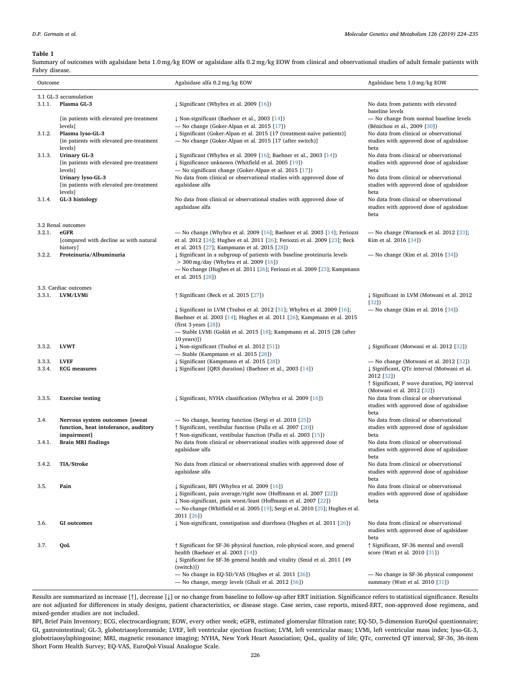#### <span id="page-2-0"></span>**Table 1**

Summary of outcomes with agalsidase beta 1.0 mg/kg EOW or agalsidase alfa 0.2 mg/kg EOW from clinical and observational studies of adult female patients with Fabry disease.

| Outcome                                        |                                                                                                                                                                   | Agalsidase alfa 0.2 mg/kg EOW                                                                                                                                                                                                                                                        | Agalsidase beta 1.0 mg/kg EOW                                                                                                                                                            |  |
|------------------------------------------------|-------------------------------------------------------------------------------------------------------------------------------------------------------------------|--------------------------------------------------------------------------------------------------------------------------------------------------------------------------------------------------------------------------------------------------------------------------------------|------------------------------------------------------------------------------------------------------------------------------------------------------------------------------------------|--|
| 3.1 GL-3 accumulation<br>Plasma GL-3<br>3.1.1. |                                                                                                                                                                   | ↓ Significant (Whybra et al. 2009 [16])                                                                                                                                                                                                                                              | No data from patients with elevated<br>baseline levels                                                                                                                                   |  |
| 3.1.2.                                         | [in patients with elevated pre-treatment]<br>levels]<br>Plasma lyso-GL-3<br>[in patients with elevated pre-treatment                                              | ↓ Non-significant (Baehner et al., 2003 [14])<br>$-$ No change (Goker-Alpan et al. 2015 [17])<br>↓ Significant (Goker-Alpan et al. 2015 [17 (treatment-naïve patients)]<br>- No change (Goker-Alpan et al. 2015 [17 (after switch)]                                                  | - No change from normal baseline levels<br>(Bénichou et al., 2009 [30])<br>No data from clinical or observational<br>studies with approved dose of agalsidase                            |  |
| 3.1.3.                                         | levels]<br><b>Urinary GL-3</b><br>[in patients with elevated pre-treatment<br>levels]<br>Urinary lyso-GL-3<br>[in patients with elevated pre-treatment<br>levels] | ↓ Significant (Whybra et al. 2009 [16]; Baehner et al., 2003 [14])<br>↓ Significance unknown (Whitfield et al. 2005 [19])<br>- No significant change (Goker-Alpan et al. 2015 [17])<br>No data from clinical or observational studies with approved dose of<br>agalsidase alfa       | beta<br>No data from clinical or observational<br>studies with approved dose of agalsidase<br>beta<br>No data from clinical or observational<br>studies with approved dose of agalsidase |  |
| 3.1.4.                                         | GL-3 histology                                                                                                                                                    | No data from clinical or observational studies with approved dose of<br>agalsidase alfa                                                                                                                                                                                              | beta<br>No data from clinical or observational<br>studies with approved dose of agalsidase<br>beta                                                                                       |  |
| 3.2.1.<br>3.2.2.                               | 3.2 Renal outcomes<br>eGFR<br>[compared with decline as with natural<br>history]<br>Proteinuria/Albuminuria                                                       | — No change (Whybra et al. 2009 [16]; Baehner et al. 2003 [14]; Feriozzi<br>et al. 2012 [24]; Hughes et al. 2011 [26]; Feriozzi et al. 2009 [23]; Beck<br>et al. 2015 [27]; Kampmann et al. 2015 [28])<br>↓ Significant in a subgroup of patients with baseline proteinuria levels   | — No change (Warnock et al. $2012$ [33];<br>Kim et al. 2016 [34])<br>— No change (Kim et al. 2016 [34])                                                                                  |  |
|                                                |                                                                                                                                                                   | $>$ 300 mg/day (Whybra et al. 2009 [16])<br>— No change (Hughes et al. 2011 [26]; Feriozzi et al. 2009 [23]; Kampmann<br>et al. 2015 [28])                                                                                                                                           |                                                                                                                                                                                          |  |
| 3.3.1.                                         | 3.3. Cardiac outcomes<br>LVM/LVMi                                                                                                                                 | ↑ Significant (Beck et al. 2015 [27])                                                                                                                                                                                                                                                | ↓ Significant in LVM (Motwani et al. 2012)                                                                                                                                               |  |
|                                                |                                                                                                                                                                   | $\downarrow$ Significant in LVM (Tsuboi et al. 2012 [51]; Whybra et al. 2009 [16];<br>Baehner et al. 2003 [14]; Hughes et al. 2011 [26]; Kampmann et al. 2015<br>(first $3$ years $[28]$ )<br>- Stable LVMi (Goláň et al. 2015 [18]; Kampmann et al. 2015 [28 (after<br>10 years)])  | $[32]$<br>— No change (Kim et al. 2016 [34])                                                                                                                                             |  |
| 3.3.2.                                         | <b>LVWT</b>                                                                                                                                                       | ↓ Non-significant (Tsuboi et al. 2012 [51])<br>$-$ Stable (Kampmann et al. 2015 [28])                                                                                                                                                                                                | ↓ Significant (Motwani et al. 2012 [32])                                                                                                                                                 |  |
| 3.3.3.<br>3.3.4.                               | <b>LVEF</b><br><b>ECG</b> measures                                                                                                                                | ↓ Significant (Kampmann et al. 2015 [28])<br>↓ Significant [QRS duration] (Baehner et al., 2003 [14])                                                                                                                                                                                | — No change (Motwani et al. 2012 [32])<br>↓ Significant, QTc interval (Motwani et al.<br>2012 [32])<br>↑ Significant, P wave duration, PQ interval<br>(Motwani et al. 2012 [32])         |  |
| 3.3.5.                                         | <b>Exercise testing</b>                                                                                                                                           | ↓ Significant, NYHA classification (Whybra et al. 2009 [16])                                                                                                                                                                                                                         | No data from clinical or observational<br>studies with approved dose of agalsidase<br>beta                                                                                               |  |
| 3.4.                                           | Nervous system outcomes [sweat<br>function, heat intolerance, auditory<br>impairment]                                                                             | - No change, hearing function (Sergi et al. 2010 [25])<br><i><u><b>f</b></u></i> Significant, vestibular function (Palla et al. 2007 [20])<br>↑ Non-significant, vestibular function (Palla et al. 2003 [15])                                                                        | No data from clinical or observational<br>studies with approved dose of agalsidase<br>beta                                                                                               |  |
| 3.4.1.                                         | <b>Brain MRI findings</b>                                                                                                                                         | No data from clinical or observational studies with approved dose of<br>agalsidase alfa                                                                                                                                                                                              | No data from clinical or observational<br>studies with approved dose of agalsidase<br>beta                                                                                               |  |
| 3.4.2.                                         | <b>TIA/Stroke</b>                                                                                                                                                 | No data from clinical or observational studies with approved dose of<br>agalsidase alfa                                                                                                                                                                                              | No data from clinical or observational<br>studies with approved dose of agalsidase<br>beta                                                                                               |  |
| 3.5.                                           | Pain                                                                                                                                                              | ↓ Significant, BPI (Whybra et al. 2009 [16])<br>↓ Significant, pain average/right now (Hoffmann et al. 2007 [22])<br>↓ Non-significant, pain worst/least (Hoffmann et al. 2007 [22])<br>— No change (Whitfield et al. 2005 [19]; Sergi et al. 2010 [25]; Hughes et al.<br>2011 [26]) | No data from clinical or observational<br>studies with approved dose of agalsidase<br>beta                                                                                               |  |
| 3.6.                                           | <b>GI</b> outcomes                                                                                                                                                | ↓ Non-significant, constipation and diarrhoea (Hughes et al. 2011 [26])                                                                                                                                                                                                              | No data from clinical or observational<br>studies with approved dose of agalsidase<br>beta                                                                                               |  |
| 3.7.                                           | QoL                                                                                                                                                               | ↑ Significant for SF-36 physical function, role-physical score, and general<br>health (Baehner et al. 2003 [14])<br>↓ Significant for SF-36 general health and vitality (Smid et al. 2011 [49<br>(switch)])                                                                          | ↑ Significant, SF-36 mental and overall<br>score (Watt et al. 2010 [31])                                                                                                                 |  |
|                                                |                                                                                                                                                                   | - No change in EQ-5D/VAS (Hughes et al. 2011 [26])<br>- No change, energy levels (Ghali et al. 2012 [56])                                                                                                                                                                            | - No change in SF-36 physical component<br>summary (Watt et al. 2010 [31])                                                                                                               |  |

Results are summarized as increase [↑], decrease [↓] or no change from baseline to follow-up after ERT initiation. Significance refers to statistical significance. Results are not adjusted for differences in study designs, patient characteristics, or disease stage. Case series, case reports, mixed-ERT, non-approved dose regimens, and mixed-gender studies are not included.

BPI, Brief Pain Inventory; ECG, electrocardiogram; EOW, every other week; eGFR, estimated glomerular filtration rate; EQ-5D, 5-dimension EuroQol questionnaire; GI, gastrointestinal; GL-3, globotriaosylceramide; LVEF, left ventricular ejection fraction; LVM, left ventricular mass; LVMi, left ventricular mass index; lyso-GL-3, globotriaosylsphingosine; MRI, magnetic resonance imaging; NYHA, New York Heart Association; QoL, quality of life; QTc, corrected QT interval; SF-36, 36-item Short Form Health Survey; EQ-VAS, EuroQol-Visual Analogue Scale.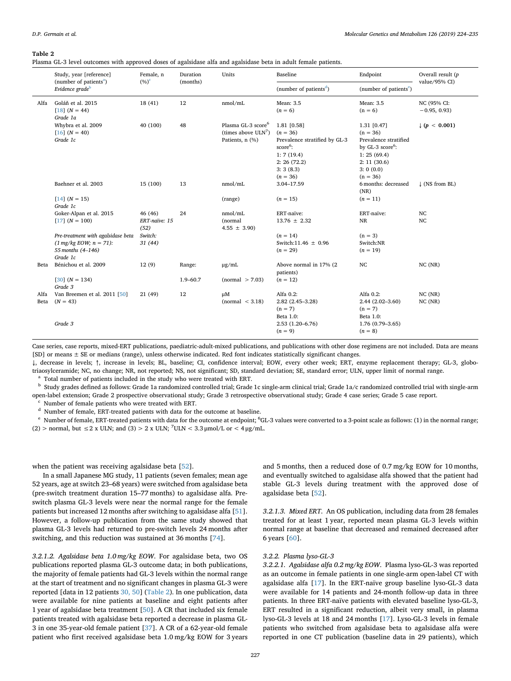#### <span id="page-3-0"></span>**Table 2**

Plasma GL-3 level outcomes with approved doses of agalsidase alfa and agalsidase beta in adult female patients.

|              | Study, year [reference]<br>(number of patients <sup>a</sup> )<br>Evidence grade <sup>b</sup>               | Female, n<br>$(\%)^c$            | Duration<br>(months) | Units                                                                       | Baseline                                                                                                                                 | Endpoint                                                                                                                                       | Overall result (p<br>value/95% CI) |
|--------------|------------------------------------------------------------------------------------------------------------|----------------------------------|----------------------|-----------------------------------------------------------------------------|------------------------------------------------------------------------------------------------------------------------------------------|------------------------------------------------------------------------------------------------------------------------------------------------|------------------------------------|
|              |                                                                                                            |                                  |                      |                                                                             | (number of patients <sup>d</sup> )                                                                                                       | (number of patients <sup>e</sup> )                                                                                                             |                                    |
| Alfa         | Goláň et al. 2015<br>$[18] (N = 44)$<br>Grade 1a                                                           | 18(41)                           | 12                   | nmol/mL                                                                     | Mean: 3.5<br>$(n = 6)$                                                                                                                   | Mean: 3.5<br>$(n = 6)$                                                                                                                         | NC (95% CI:<br>$-0.95, 0.93$       |
|              | Whybra et al. 2009<br>$[16] (N = 40)$<br>Grade 1c                                                          | 40 (100)                         | 48                   | Plasma GL-3 score <sup>6</sup><br>(times above $ULN^7$ )<br>Patients, n (%) | 1.81 [0.58]<br>$(n = 36)$<br>Prevalence stratified by GL-3<br>score <sup>6</sup> :<br>1:7(19.4)<br>2: 26(72.2)<br>3:3(8.3)<br>$(n = 36)$ | $1.31$ $[0.47]$<br>$(n = 36)$<br>Prevalence stratified<br>by GL-3 score <sup>6</sup> :<br>1: 25(69.4)<br>2: 11(30.6)<br>3:0(0.0)<br>$(n = 36)$ | $\downarrow$ (p < 0.001)           |
|              | Baehner et al. 2003                                                                                        | 15 (100)                         | 13                   | nmol/mL                                                                     | 3.04-17.59                                                                                                                               | 6 months: decreased<br>(NR)                                                                                                                    | $\downarrow$ (NS from BL)          |
|              | $[14] (N = 15)$<br>Grade 1c                                                                                |                                  |                      | (range)                                                                     | $(n = 15)$                                                                                                                               | $(n = 11)$                                                                                                                                     |                                    |
|              | Goker-Alpan et al. 2015<br>$[17] (N = 100)$                                                                | 46 (46)<br>ERT-naïve: 15<br>(52) | 24                   | nmol/mL<br>(normal<br>$4.55 \pm 3.90$                                       | ERT-naïve:<br>$13.76 \pm 2.32$                                                                                                           | ERT-naïve:<br>$\rm NR$                                                                                                                         | NC<br>NC                           |
|              | Pre-treatment with agalsidase beta<br>$(1 \text{ mg/kg}$ EOW; $n = 71$ ):<br>55 months (4-146)<br>Grade 1c | Switch:<br>31(44)                |                      |                                                                             | $(n = 14)$<br>Switch:11.46 $\pm$ 0.96<br>$(n = 29)$                                                                                      | $(n = 3)$<br>Switch:NR<br>$(n = 19)$                                                                                                           |                                    |
| Beta         | Bénichou et al. 2009                                                                                       | 12(9)                            | Range:               | $\mu$ g/mL                                                                  | Above normal in 17% (2<br>patients)                                                                                                      | NC                                                                                                                                             | NC(NR)                             |
|              | $[30]$ $(N = 134)$<br>Grade 3                                                                              |                                  | $1.9 - 60.7$         | normal > 7.03                                                               | $(n = 12)$                                                                                                                               |                                                                                                                                                |                                    |
| Alfa<br>Beta | Van Breemen et al. 2011 [50]<br>$(N = 43)$<br>Grade 3                                                      | 21(49)                           | 12                   | $\mu$ M<br>normal < 3.18                                                    | Alfa 0.2:<br>$2.82(2.45 - 3.28)$<br>$(n = 7)$<br>Beta 1.0:<br>$2.53(1.20 - 6.76)$                                                        | Alfa 0.2:<br>$2.44(2.02 - 3.60)$<br>$(n = 7)$<br>Beta 1.0:<br>$1.76(0.79 - 3.65)$                                                              | NC(NR)<br>NC(NR)                   |
|              |                                                                                                            |                                  |                      |                                                                             | $(n = 9)$                                                                                                                                | $(n = 8)$                                                                                                                                      |                                    |

Case series, case reports, mixed-ERT publications, paediatric-adult-mixed publications, and publications with other dose regimens are not included. Data are means [SD] or means ± SE or medians (range), unless otherwise indicated. Red font indicates statistically significant changes.

↓, decrease in levels; ↑, increase in levels; BL, baseline; CI, confidence interval; EOW, every other week; ERT, enzyme replacement therapy; GL-3, globotriaosylceramide; NC, no change; NR, not reported; NS, not significant; SD, standard deviation; SE, standard error; ULN, upper limit of normal range.

<span id="page-3-2"></span>Total number of patients included in the study who were treated with ERT.

<span id="page-3-5"></span><sup>b</sup> Study grades defined as follows: Grade 1a randomized controlled trial; Grade 1c single-arm clinical trial; Grade 1a/c randomized controlled trial with single-arm open-label extension; Grade 2 prospective observational study; Grade 3 retrospective observational study; Grade 4 case series; Grade 5 case report.

<span id="page-3-1"></span><sup>c</sup> Number of female patients who were treated with ERT.

<span id="page-3-3"></span><sup>d</sup> Number of female, ERT-treated patients with data for the outcome at baseline.

<span id="page-3-4"></span> $^{\rm e}$  Number of female, ERT-treated patients with data for the outcome at endpoint;  $^{\rm 6}$ GL-3 values were converted to a 3-point scale as follows: (1) in the normal range; (2) > normal, but  $\leq$  2 x ULN; and (3) > 2 x ULN; <sup>7</sup>ULN < 3.3 µmol/L or < 4 µg/mL.

when the patient was receiving agalsidase beta [[52\]](#page-11-3).

In a small Japanese MG study, 11 patients (seven females; mean age 52 years, age at switch 23–68 years) were switched from agalsidase beta (pre-switch treatment duration 15–77 months) to agalsidase alfa. Preswitch plasma GL-3 levels were near the normal range for the female patients but increased 12 months after switching to agalsidase alfa [\[51](#page-11-1)]. However, a follow-up publication from the same study showed that plasma GL-3 levels had returned to pre-switch levels 24 months after switching, and this reduction was sustained at 36 months [[74\]](#page-11-4).

*3.2.1.2. Agalsidase beta 1.0 mg/kg EOW*. For agalsidase beta, two OS publications reported plasma GL-3 outcome data; in both publications, the majority of female patients had GL-3 levels within the normal range at the start of treatment and no significant changes in plasma GL-3 were reported [data in 12 patients [30, 50](#page-10-17)] [\(Table 2\)](#page-3-0). In one publication, data were available for nine patients at baseline and eight patients after 1 year of agalsidase beta treatment [[50\]](#page-11-0). A CR that included six female patients treated with agalsidase beta reported a decrease in plasma GL-3 in one 35-year-old female patient [[37\]](#page-10-32). A CR of a 62-year-old female patient who first received agalsidase beta 1.0 mg/kg EOW for 3 years and 5 months, then a reduced dose of 0.7 mg/kg EOW for 10 months, and eventually switched to agalsidase alfa showed that the patient had stable GL-3 levels during treatment with the approved dose of agalsidase beta [\[52](#page-11-3)].

*3.2.1.3. Mixed ERT*. An OS publication, including data from 28 females treated for at least 1 year, reported mean plasma GL-3 levels within normal range at baseline that decreased and remained decreased after 6 years [\[60](#page-11-5)].

#### *3.2.2. Plasma lyso-GL-3*

*3.2.2.1. Agalsidase alfa 0.2 mg/kg EOW*. Plasma lyso-GL-3 was reported as an outcome in female patients in one single-arm open-label CT with agalsidase alfa [[17\]](#page-10-16). In the ERT-naïve group baseline lyso-GL-3 data were available for 14 patients and 24-month follow-up data in three patients. In three ERT-naïve patients with elevated baseline lyso-GL-3, ERT resulted in a significant reduction, albeit very small, in plasma lyso-GL-3 levels at 18 and 24 months [[17\]](#page-10-16). Lyso-GL-3 levels in female patients who switched from agalsidase beta to agalsidase alfa were reported in one CT publication (baseline data in 29 patients), which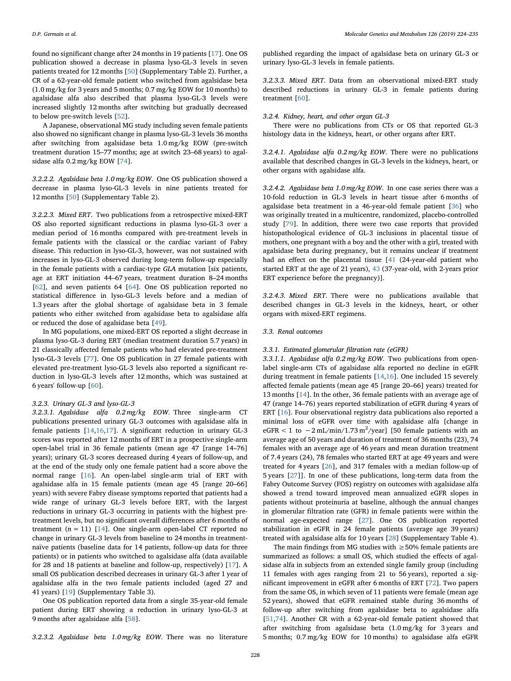found no significant change after 24 months in 19 patients [\[17](#page-10-16)]. One OS publication showed a decrease in plasma lyso-GL-3 levels in seven patients treated for 12 months [\[50](#page-11-0)] (Supplementary Table 2). Further, a CR of a 62-year-old female patient who switched from agalsidase beta (1.0 mg/kg for 3 years and 5 months; 0.7 mg/kg EOW for 10 months) to agalsidase alfa also described that plasma lyso-GL-3 levels were increased slightly 12 months after switching but gradually decreased to below pre-switch levels [[52\]](#page-11-3).

A Japanese, observational MG study including seven female patients also showed no significant change in plasma lyso-GL-3 levels 36 months after switching from agalsidase beta 1.0 mg/kg EOW (pre-switch treatment duration 15–77 months; age at switch 23–68 years) to agalsidase alfa 0.2 mg/kg EOW [[74\]](#page-11-4).

*3.2.2.2. Agalsidase beta 1.0 mg/kg EOW*. One OS publication showed a decrease in plasma lyso-GL-3 levels in nine patients treated for 12 months [\[50](#page-11-0)] (Supplementary Table 2).

*3.2.2.3. Mixed ERT*. Two publications from a retrospective mixed-ERT OS also reported significant reductions in plasma lyso-GL-3 over a median period of 16 months compared with pre-treatment levels in female patients with the classical or the cardiac variant of Fabry disease. This reduction in lyso-GL-3, however, was not sustained with increases in lyso-GL-3 observed during long-term follow-up especially in the female patients with a cardiac-type *GLA* mutation [six patients, age at ERT initiation 44–67 years, treatment duration 8–24 months [[62\]](#page-11-6), and seven patients 64 [[64\]](#page-11-7). One OS publication reported no statistical difference in lyso-GL-3 levels before and a median of 1.3 years after the global shortage of agalsidase beta in 3 female patients who either switched from agalsidase beta to agalsidase alfa or reduced the dose of agalsidase beta [\[49](#page-11-8)].

In MG populations, one mixed-ERT OS reported a slight decrease in plasma lyso-GL-3 during ERT (median treatment duration 5.7 years) in 21 classically affected female patients who had elevated pre-treatment lyso-GL-3 levels [[77\]](#page-11-9). One OS publication in 27 female patients with elevated pre-treatment lyso-GL-3 levels also reported a significant reduction in lyso-GL-3 levels after 12 months, which was sustained at 6 years' follow-up [[60\]](#page-11-5).

#### *3.2.3. Urinary GL-3 and lyso-GL-3*

*3.2.3.1. Agalsidase alfa 0.2 mg/kg EOW*. Three single-arm CT publications presented urinary GL-3 outcomes with agalsidase alfa in female patients [[14](#page-10-14)[,16](#page-10-15)[,17](#page-10-16)]. A significant reduction in urinary GL-3 scores was reported after 12 months of ERT in a prospective single-arm open-label trial in 36 female patients (mean age 47 [range 14–76] years); urinary GL-3 scores decreased during 4 years of follow-up, and at the end of the study only one female patient had a score above the normal range [[16\]](#page-10-15). An open-label single-arm trial of ERT with agalsidase alfa in 15 female patients (mean age 45 [range 20–66] years) with severe Fabry disease symptoms reported that patients had a wide range of urinary GL-3 levels before ERT, with the largest reductions in urinary GL-3 occurring in patients with the highest pretreatment levels, but no significant overall differences after 6 months of treatment  $(n = 11)$  [[14\]](#page-10-14). One single-arm open-label CT reported no change in urinary GL-3 levels from baseline to 24 months in treatmentnaïve patients (baseline data for 14 patients, follow-up data for three patients) or in patients who switched to agalsidase alfa (data available for 28 and 18 patients at baseline and follow-up, respectively) [\[17](#page-10-16)]. A small OS publication described decreases in urinary GL-3 after 1 year of agalsidase alfa in the two female patients included (aged 27 and 41 years) [[19\]](#page-10-18) (Supplementary Table 3).

One OS publication reported data from a single 35-year-old female patient during ERT showing a reduction in urinary lyso-GL-3 at 9 months after agalsidase alfa [\[58](#page-11-10)].

*3.2.3.2. Agalsidase beta 1.0 mg/kg EOW*. There was no literature

published regarding the impact of agalsidase beta on urinary GL-3 or urinary lyso-GL-3 levels in female patients.

*3.2.3.3. Mixed ERT*. Data from an observational mixed-ERT study described reductions in urinary GL-3 in female patients during treatment [\[60](#page-11-5)].

#### *3.2.4. Kidney, heart, and other organ GL-3*

There were no publications from CTs or OS that reported GL-3 histology data in the kidneys, heart, or other organs after ERT.

*3.2.4.1. Agalsidase alfa 0.2 mg/kg EOW*. There were no publications available that described changes in GL-3 levels in the kidneys, heart, or other organs with agalsidase alfa.

*3.2.4.2. Agalsidase beta 1.0 mg/kg EOW*. In one case series there was a 10-fold reduction in GL-3 levels in heart tissue after 6 months of agalsidase beta treatment in a 46-year-old female patient [\[36](#page-10-33)] who was originally treated in a multicentre, randomized, placebo-controlled study [\[79](#page-11-11)]. In addition, there were two case reports that provided histopathological evidence of GL-3 inclusions in placental tissue of mothers, one pregnant with a boy and the other with a girl, treated with agalsidase beta during pregnancy, but it remains unclear if treatment had an effect on the placental tissue [[41](#page-10-34) (24-year-old patient who started ERT at the age of 21 years), [43](#page-10-35) (37-year-old, with 2-years prior ERT experience before the pregnancy)].

*3.2.4.3. Mixed ERT*. There were no publications available that described changes in GL-3 levels in the kidneys, heart, or other organs with mixed-ERT regimens.

#### *3.3. Renal outcomes*

#### *3.3.1. Estimated glomerular filtration rate (eGFR)*

*3.3.1.1. Agalsidase alfa 0.2 mg/kg EOW*. Two publications from openlabel single-arm CTs of agalsidase alfa reported no decline in eGFR during treatment in female patients [\[14](#page-10-14)[,16](#page-10-15)]. One included 15 severely affected female patients (mean age 45 [range 20–66] years) treated for 13 months [[14\]](#page-10-14). In the other, 36 female patients with an average age of 47 (range 14–76) years reported stabilization of eGFR during 4 years of ERT [[16\]](#page-10-15). Four observational registry data publications also reported a minimal loss of eGFR over time with agalsidase alfa [change in eGFR < 1 to  $-2$  mL/min/1.73 m<sup>2</sup>/year] [50 female patients with an average age of 50 years and duration of treatment of 36 months (23), 74 females with an average age of 46 years and mean duration treatment of 7.4 years (24), 78 females who started ERT at age 49 years and were treated for 4 years [[26\]](#page-10-20), and 317 females with a median follow-up of 5 years [\[27](#page-10-22)]]. In one of these publications, long-term data from the Fabry Outcome Survey (FOS) registry on outcomes with agalsidase alfa showed a trend toward improved mean annualized eGFR slopes in patients without proteinuria at baseline, although the annual changes in glomerular filtration rate (GFR) in female patients were within the normal age-expected range [\[27](#page-10-22)]. One OS publication reported stabilization in eGFR in 24 female patients (average age 39 years) treated with agalsidase alfa for 10 years [[28\]](#page-10-23) (Supplementary Table 4).

The main findings from MG studies with  $\geq$  50% female patients are summarized as follows: a small OS, which studied the effects of agalsidase alfa in subjects from an extended single family group (including 11 females with ages ranging from 21 to 56 years), reported a significant improvement in eGFR after 6 months of ERT [[72\]](#page-11-12). Two papers from the same OS, in which seven of 11 patients were female (mean age 52 years), showed that eGFR remained stable during 36 months of follow-up after switching from agalsidase beta to agalsidase alfa [[51](#page-11-1)[,74](#page-11-4)]. Another CR with a 62-year-old female patient showed that after switching from agalsidase beta (1.0 mg/kg for 3 years and 5 months; 0.7 mg/kg EOW for 10 months) to agalsidase alfa eGFR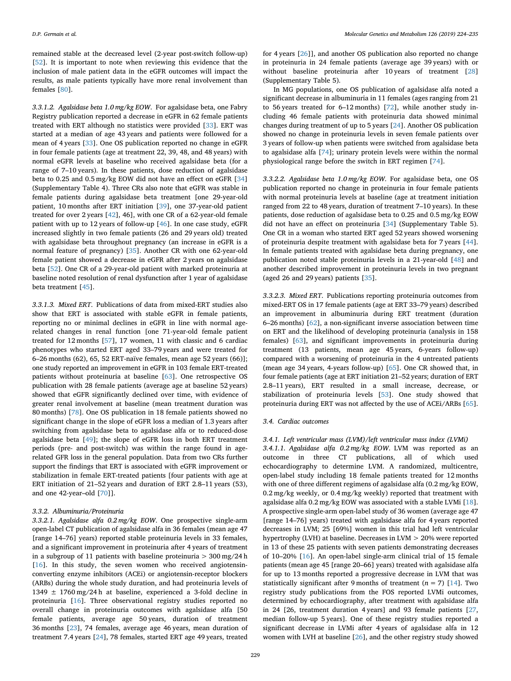remained stable at the decreased level (2-year post-switch follow-up) [[52\]](#page-11-3). It is important to note when reviewing this evidence that the inclusion of male patient data in the eGFR outcomes will impact the results, as male patients typically have more renal involvement than females [\[80](#page-11-13)].

*3.3.1.2. Agalsidase beta 1.0 mg/kg EOW*. For agalsidase beta, one Fabry Registry publication reported a decrease in eGFR in 62 female patients treated with ERT although no statistics were provided [[33\]](#page-10-24). ERT was started at a median of age 43 years and patients were followed for a mean of 4 years [\[33](#page-10-24)]. One OS publication reported no change in eGFR in four female patients (age at treatment 22, 39, 48, and 48 years) with normal eGFR levels at baseline who received agalsidase beta (for a range of 7–10 years). In these patients, dose reduction of agalsidase beta to 0.25 and 0.5 mg/kg EOW did not have an effect on eGFR [\[34](#page-10-25)] (Supplementary Table 4). Three CRs also note that eGFR was stable in female patients during agalsidase beta treatment [one 29-year-old patient, 10 months after ERT initiation [[39\]](#page-10-36), one 37-year-old patient treated for over 2 years [[42\]](#page-10-37), 46], with one CR of a 62-year-old female patient with up to 12 years of follow-up [[46\]](#page-11-14). In one case study, eGFR increased slightly in two female patients (26 and 29 years old) treated with agalsidase beta throughout pregnancy (an increase in eGFR is a normal feature of pregnancy) [\[35](#page-10-38)]. Another CR with one 62-year-old female patient showed a decrease in eGFR after 2 years on agalsidase beta [[52\]](#page-11-3). One CR of a 29-year-old patient with marked proteinuria at baseline noted resolution of renal dysfunction after 1 year of agalsidase beta treatment [[45\]](#page-10-39).

*3.3.1.3. Mixed ERT*. Publications of data from mixed-ERT studies also show that ERT is associated with stable eGFR in female patients, reporting no or minimal declines in eGFR in line with normal agerelated changes in renal function [one 71-year-old female patient treated for 12 months [[57\]](#page-11-15), 17 women, 11 with classic and 6 cardiac phenotypes who started ERT aged 33–79 years and were treated for 6–26 months (62), 65, 52 ERT-naïve females, mean age 52 years (66)]; one study reported an improvement in eGFR in 103 female ERT-treated patients without proteinuria at baseline [[63\]](#page-11-16). One retrospective OS publication with 28 female patients (average age at baseline 52 years) showed that eGFR significantly declined over time, with evidence of greater renal involvement at baseline (mean treatment duration was 80 months) [\[78](#page-11-17)]. One OS publication in 18 female patients showed no significant change in the slope of eGFR loss a median of 1.3 years after switching from agalsidase beta to agalsidase alfa or to reduced-dose agalsidase beta [[49\]](#page-11-8); the slope of eGFR loss in both ERT treatment periods (pre- and post-switch) was within the range found in agerelated GFR loss in the general population. Data from two CRs further support the findings that ERT is associated with eGFR improvement or stabilization in female ERT-treated patients [four patients with age at ERT initiation of 21–52 years and duration of ERT 2.8–11 years (53), and one 42-year–old [[70\]](#page-11-18)].

#### *3.3.2. Albuminuria/Proteinuria*

*3.3.2.1. Agalsidase alfa 0.2 mg/kg EOW*. One prospective single-arm open-label CT publication of agalsidase alfa in 36 females (mean age 47 [range 14–76] years) reported stable proteinuria levels in 33 females, and a significant improvement in proteinuria after 4 years of treatment in a subgroup of 11 patients with baseline proteinuria  $>$  300 mg/24 h [[16\]](#page-10-15). In this study, the seven women who received angiotensinconverting enzyme inhibitors (ACEi) or angiotensin-receptor blockers (ARBs) during the whole study duration, and had proteinuria levels of 1349  $\pm$  1760 mg/24 h at baseline, experienced a 3-fold decline in proteinuria [[16\]](#page-10-15). Three observational registry studies reported no overall change in proteinuria outcomes with agalsidase alfa [50 female patients, average age 50 years, duration of treatment 36 months [\[23](#page-10-21)], 74 females, average age 46 years, mean duration of treatment 7.4 years [[24\]](#page-10-19), 78 females, started ERT age 49 years, treated

for 4 years [[26\]](#page-10-20)], and another OS publication also reported no change in proteinuria in 24 female patients (average age 39 years) with or without baseline proteinuria after 10 years of treatment [\[28](#page-10-23)] (Supplementary Table 5).

In MG populations, one OS publication of agalsidase alfa noted a significant decrease in albuminuria in 11 females (ages ranging from 21 to 56 years treated for 6–12 months) [[72\]](#page-11-12), while another study including 46 female patients with proteinuria data showed minimal changes during treatment of up to 5 years [\[24](#page-10-19)]. Another OS publication showed no change in proteinuria levels in seven female patients over 3 years of follow-up when patients were switched from agalsidase beta to agalsidase alfa [[74\]](#page-11-4); urinary protein levels were within the normal physiological range before the switch in ERT regimen [\[74](#page-11-4)].

*3.3.2.2. Agalsidase beta 1.0 mg/kg EOW*. For agalsidase beta, one OS publication reported no change in proteinuria in four female patients with normal proteinuria levels at baseline (age at treatment initiation ranged from 22 to 48 years, duration of treatment 7–10 years). In these patients, dose reduction of agalsidase beta to 0.25 and 0.5 mg/kg EOW did not have an effect on proteinuria [[34\]](#page-10-25) (Supplementary Table 5). One CR in a woman who started ERT aged 52 years showed worsening of proteinuria despite treatment with agalsidase beta for 7 years [\[44](#page-10-40)]. In female patients treated with agalsidase beta during pregnancy, one publication noted stable proteinuria levels in a 21-year-old [[48\]](#page-11-19) and another described improvement in proteinuria levels in two pregnant (aged 26 and 29 years) patients [[35\]](#page-10-38).

*3.3.2.3. Mixed ERT*. Publications reporting proteinuria outcomes from mixed-ERT OS in 17 female patients (age at ERT 33–79 years) described an improvement in albuminuria during ERT treatment (duration 6–26 months) [[62\]](#page-11-6), a non-significant inverse association between time on ERT and the likelihood of developing proteinuria (analysis in 158 females) [[63](#page-11-16)], and significant improvements in proteinuria during treatment (13 patients, mean age 45 years, 6-years follow-up) compared with a worsening of proteinuria in the 4 untreated patients (mean age 34 years, 4-years follow-up) [\[65](#page-11-20)]. One CR showed that, in four female patients (age at ERT initiation 21–52 years; duration of ERT 2.8–11 years), ERT resulted in a small increase, decrease, or stabilization of proteinuria levels [\[53](#page-11-21)]. One study showed that proteinuria during ERT was not affected by the use of ACEi/ARBs [\[65](#page-11-20)].

#### *3.4. Cardiac outcomes*

*3.4.1. Left ventricular mass (LVM)/left ventricular mass index (LVMi) 3.4.1.1. Agalsidase alfa 0.2 mg/kg EOW*. LVM was reported as an outcome in three CT publications, all of which used echocardiography to determine LVM. A randomized, multicentre, open-label study including 18 female patients treated for 12 months with one of three different regimens of agalsidase alfa (0.2 mg/kg EOW, 0.2 mg/kg weekly, or 0.4 mg/kg weekly) reported that treatment with agalsidase alfa $0.2\,\mathrm{mg/kg}$  EOW was associated with a stable LVMi [\[18](#page-10-13)]. A prospective single-arm open-label study of 36 women (average age 47 [range 14–76] years) treated with agalsidase alfa for 4 years reported decreases in LVM; 25 [69%] women in this trial had left ventricular hypertrophy (LVH) at baseline. Decreases in LVM > 20% were reported in 13 of these 25 patients with seven patients demonstrating decreases of 10–20% [\[16](#page-10-15)]. An open-label single-arm clinical trial of 15 female patients (mean age 45 [range 20–66] years) treated with agalsidase alfa for up to 13 months reported a progressive decrease in LVM that was statistically significant after 9 months of treatment  $(n = 7)$  [[14\]](#page-10-14). Two registry study publications from the FOS reported LVMi outcomes, determined by echocardiography, after treatment with agalsidase alfa in 24 [26, treatment duration 4 years] and 93 female patients [\[27](#page-10-22), median follow-up 5 years]. One of these registry studies reported a significant decrease in LVMi after 4 years of agalsidase alfa in 12 women with LVH at baseline [[26\]](#page-10-20), and the other registry study showed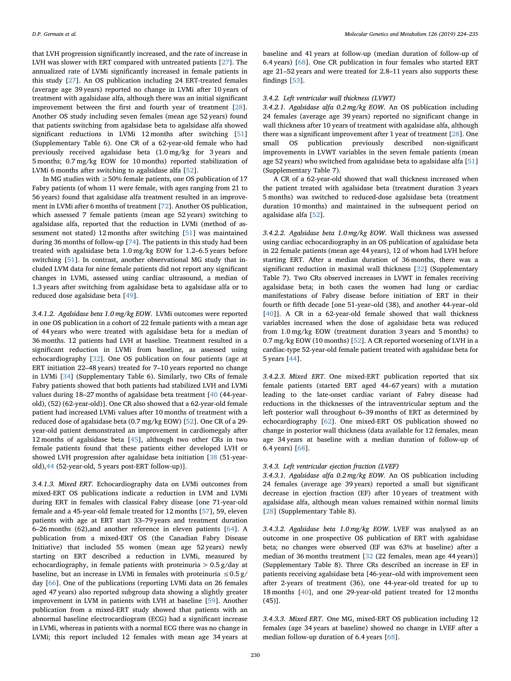that LVH progression significantly increased, and the rate of increase in LVH was slower with ERT compared with untreated patients [\[27](#page-10-22)]. The annualized rate of LVMi significantly increased in female patients in this study [[27\]](#page-10-22). An OS publication including 24 ERT-treated females (average age 39 years) reported no change in LVMi after 10 years of treatment with agalsidase alfa, although there was an initial significant improvement between the first and fourth year of treatment [\[28](#page-10-23)]. Another OS study including seven females (mean age 52 years) found that patients switching from agalsidase beta to agalsidase alfa showed significant reductions in LVMi 12 months after switching [\[51](#page-11-1)] (Supplementary Table 6). One CR of a 62-year-old female who had previously received agalsidase beta (1.0 mg/kg for 3 years and 5 months; 0.7 mg/kg EOW for 10 months) reported stabilization of LVMi 6 months after switching to agalsidase alfa [[52\]](#page-11-3).

In MG studies with  $\geq$  50% female patients, one OS publication of 17 Fabry patients (of whom 11 were female, with ages ranging from 21 to 56 years) found that agalsidase alfa treatment resulted in an improvement in LVMi after 6 months of treatment [[72\]](#page-11-12). Another OS publication, which assessed 7 female patients (mean age 52 years) switching to agalsidase alfa, reported that the reduction in LVMi (method of assessment not stated) 12 months after switching [[51\]](#page-11-1) was maintained during 36 months of follow-up [[74\]](#page-11-4). The patients in this study had been treated with agalsidase beta 1.0 mg/kg EOW for 1.2–6.5 years before switching [\[51](#page-11-1)]. In contrast, another observational MG study that included LVM data for nine female patients did not report any significant changes in LVMi, assessed using cardiac ultrasound, a median of 1.3 years after switching from agalsidase beta to agalsidase alfa or to reduced dose agalsidase beta [[49\]](#page-11-8).

*3.4.1.2. Agalsidase beta 1.0 mg/kg EOW*. LVMi outcomes were reported in one OS publication in a cohort of 22 female patients with a mean age of 44 years who were treated with agalsidase beta for a median of 36 months. 12 patients had LVH at baseline. Treatment resulted in a significant reduction in LVMi from baseline, as assessed using echocardiography [[32\]](#page-10-26). One OS publication on four patients (age at ERT initiation 22–48 years) treated for 7–10 years reported no change in LVMi [\[34](#page-10-25)] (Supplementary Table 6). Similarly, two CRs of female Fabry patients showed that both patients had stabilized LVH and LVMi values during 18–27 months of agalsidase beta treatment [[40](#page-10-41) (44-yearold), (52) (62-year-old)]. One CR also showed that a 62-year-old female patient had increased LVMi values after 10 months of treatment with a reduced dose of agalsidase beta (0.7 mg/kg EOW) [\[52](#page-11-3)]. One CR of a 29 year-old patient demonstrated an improvement in cardiomegaly after 12 months of agalsidase beta [\[45](#page-10-39)], although two other CRs in two female patients found that these patients either developed LVH or showed LVH progression after agalsidase beta initiation [\[38](#page-10-42) (51-yearold)[,44](#page-10-40) (52-year-old, 5 years post-ERT follow-up)].

*3.4.1.3. Mixed ERT*. Echocardiography data on LVMi outcomes from mixed-ERT OS publications indicate a reduction in LVM and LVMi during ERT in females with classical Fabry disease [one 71-year-old female and a 45-year-old female treated for 12 months [[57\]](#page-11-15), 59, eleven patients with age at ERT start 33–79 years and treatment duration 6–26 months (62),and another reference in eleven patients [\[64](#page-11-7)]. A publication from a mixed-ERT OS (the Canadian Fabry Disease Initiative) that included 55 women (mean age 52 years) newly starting on ERT described a reduction in LVMi, measured by echocardiography, in female patients with proteinuria > 0.5 g/day at baseline, but an increase in LVMi in females with proteinuria  $\leq 0.5$  g/ day [[66](#page-11-22)]. One of the publications (reporting LVMi data on 26 females aged 47 years) also reported subgroup data showing a slightly greater improvement in LVM in patients with LVH at baseline [\[59](#page-11-23)]. Another publication from a mixed-ERT study showed that patients with an abnormal baseline electrocardiogram (ECG) had a significant increase in LVMi, whereas in patients with a normal ECG there was no change in LVMi; this report included 12 females with mean age 34 years at

baseline and 41 years at follow-up (median duration of follow-up of 6.4 years) [\[68](#page-11-24)]. One CR publication in four females who started ERT age 21–52 years and were treated for 2.8–11 years also supports these findings [[53\]](#page-11-21).

## *3.4.2. Left ventricular wall thickness (LVWT)*

*3.4.2.1. Agalsidase alfa 0.2 mg/kg EOW*. An OS publication including 24 females (average age 39 years) reported no significant change in wall thickness after 10 years of treatment with agalsidase alfa, although there was a significant improvement after 1 year of treatment [[28\]](#page-10-23). One small OS publication previously described non-significant improvements in LVWT variables in the seven female patients (mean age 52 years) who switched from agalsidase beta to agalsidase alfa [\[51](#page-11-1)] (Supplementary Table 7).

A CR of a 62-year-old showed that wall thickness increased when the patient treated with agalsidase beta (treatment duration 3 years 5 months) was switched to reduced-dose agalsidase beta (treatment duration 10 months) and maintained in the subsequent period on agalsidase alfa [\[52](#page-11-3)].

*3.4.2.2. Agalsidase beta 1.0 mg/kg EOW*. Wall thickness was assessed using cardiac echocardiography in an OS publication of agalsidase beta in 22 female patients (mean age 44 years), 12 of whom had LVH before starting ERT. After a median duration of 36 months, there was a significant reduction in maximal wall thickness [[32\]](#page-10-26) (Supplementary Table 7). Two CRs observed increases in LVWT in females receiving agalsidase beta; in both cases the women had lung or cardiac manifestations of Fabry disease before initiation of ERT in their fourth or fifth decade [one 51-year–old (38), and another 44-year–old [[40\]](#page-10-41)]. A CR in a 62-year-old female showed that wall thickness variables increased when the dose of agalsidase beta was reduced from 1.0 mg/kg EOW (treatment duration 3 years and 5 months) to 0.7 mg/kg EOW (10 months) [\[52](#page-11-3)]. A CR reported worsening of LVH in a cardiac-type 52-year-old female patient treated with agalsidase beta for 5 years [\[44](#page-10-40)].

*3.4.2.3. Mixed ERT*. One mixed-ERT publication reported that six female patients (started ERT aged 44–67 years) with a mutation leading to the late-onset cardiac variant of Fabry disease had reductions in the thicknesses of the intraventricular septum and the left posterior wall throughout 6–39 months of ERT as determined by echocardiography [[62\]](#page-11-6). One mixed-ERT OS publication showed no change in posterior wall thickness (data available for 12 females, mean age 34 years at baseline with a median duration of follow-up of 6.4 years) [[68\]](#page-11-24).

#### *3.4.3. Left ventricular ejection fraction (LVEF)*

*3.4.3.1. Agalsidase alfa 0.2 mg/kg EOW*. An OS publication including 24 females (average age 39 years) reported a small but significant decrease in ejection fraction (EF) after 10 years of treatment with agalsidase alfa, although mean values remained within normal limits [[28\]](#page-10-23) (Supplementary Table 8).

*3.4.3.2. Agalsidase beta 1.0 mg/kg EOW*. LVEF was analysed as an outcome in one prospective OS publication of ERT with agalsidase beta; no changes were observed (EF was 63% at baseline) after a median of 36 months treatment [\[32](#page-10-26) (22 females, mean age 44 years)] (Supplementary Table 8). Three CRs described an increase in EF in patients receiving agalsidase beta [46-year–old with improvement seen after 2-years of treatment (36), one 44-year-old treated for up to 18 months [[40\]](#page-10-41), and one 29-year-old patient treated for 12 months (45)].

*3.4.3.3. Mixed ERT*. One MG, mixed-ERT OS publication including 12 females (age 34 years at baseline) showed no change in LVEF after a median follow-up duration of 6.4 years [[68\]](#page-11-24).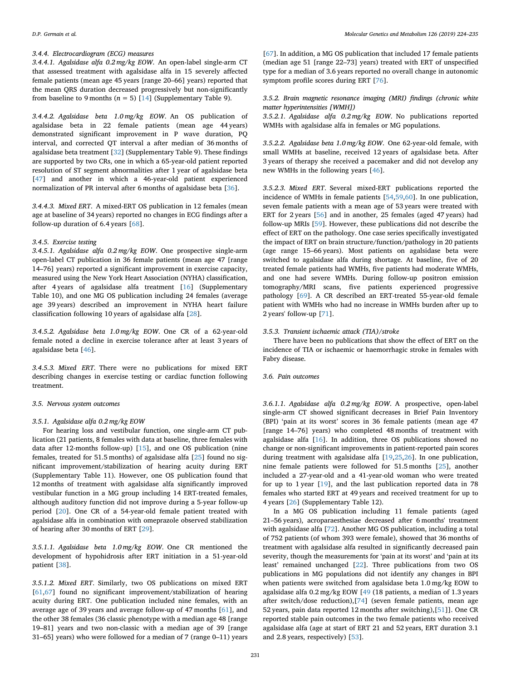### *3.4.4. Electrocardiogram (ECG) measures*

*3.4.4.1. Agalsidase alfa 0.2 mg/kg EOW*. An open-label single-arm CT that assessed treatment with agalsidase alfa in 15 severely affected female patients (mean age 45 years [range 20–66] years) reported that the mean QRS duration decreased progressively but non-significantly from baseline to 9 months  $(n = 5)$  [[14\]](#page-10-14) (Supplementary Table 9).

*3.4.4.2. Agalsidase beta 1.0 mg/kg EOW*. An OS publication of agalsidase beta in 22 female patients (mean age 44 years) demonstrated significant improvement in P wave duration, PQ interval, and corrected QT interval a after median of 36 months of agalsidase beta treatment [\[32](#page-10-26)] (Supplementary Table 9). These findings are supported by two CRs, one in which a 65-year-old patient reported resolution of ST segment abnormalities after 1 year of agalsidase beta [[47\]](#page-11-25) and another in which a 46-year-old patient experienced normalization of PR interval after 6 months of agalsidase beta [[36\]](#page-10-33).

*3.4.4.3. Mixed ERT*. A mixed-ERT OS publication in 12 females (mean age at baseline of 34 years) reported no changes in ECG findings after a follow-up duration of 6.4 years [[68\]](#page-11-24).

#### *3.4.5. Exercise testing*

*3.4.5.1. Agalsidase alfa 0.2 mg/kg EOW*. One prospective single-arm open-label CT publication in 36 female patients (mean age 47 [range 14–76] years) reported a significant improvement in exercise capacity, measured using the New York Heart Association (NYHA) classification, after 4 years of agalsidase alfa treatment [\[16](#page-10-15)] (Supplementary Table 10), and one MG OS publication including 24 females (average age 39 years) described an improvement in NYHA heart failure classification following 10 years of agalsidase alfa [[28\]](#page-10-23).

*3.4.5.2. Agalsidase beta 1.0 mg/kg EOW*. One CR of a 62-year-old female noted a decline in exercise tolerance after at least 3 years of agalsidase beta [\[46](#page-11-14)].

*3.4.5.3. Mixed ERT*. There were no publications for mixed ERT describing changes in exercise testing or cardiac function following treatment.

#### *3.5. Nervous system outcomes*

#### *3.5.1. Agalsidase alfa 0.2 mg/kg EOW*

For hearing loss and vestibular function, one single-arm CT publication (21 patients, 8 females with data at baseline, three females with data after 12-months follow-up) [[15\]](#page-10-29), and one OS publication (nine females, treated for 51.5 months) of agalsidase alfa [\[25](#page-10-27)] found no significant improvement/stabilization of hearing acuity during ERT (Supplementary Table 11). However, one OS publication found that 12 months of treatment with agalsidase alfa significantly improved vestibular function in a MG group including 14 ERT-treated females, although auditory function did not improve during a 5-year follow-up period [\[20](#page-10-28)]. One CR of a 54-year-old female patient treated with agalsidase alfa in combination with omeprazole observed stabilization of hearing after 30 months of ERT [\[29](#page-10-43)].

*3.5.1.1. Agalsidase beta 1.0 mg/kg EOW*. One CR mentioned the development of hypohidrosis after ERT initiation in a 51-year-old patient [\[38](#page-10-42)].

*3.5.1.2. Mixed ERT*. Similarly, two OS publications on mixed ERT [[61](#page-11-26)[,67](#page-11-27)] found no significant improvement/stabilization of hearing acuity during ERT. One publication included nine females, with an average age of 39 years and average follow-up of 47 months [\[61](#page-11-26)], and the other 38 females (36 classic phenotype with a median age 48 [range 19–81] years and two non-classic with a median age of 39 [range 31–65] years) who were followed for a median of 7 (range 0–11) years

[[67\]](#page-11-27). In addition, a MG OS publication that included 17 female patients (median age 51 [range 22–73] years) treated with ERT of unspecified type for a median of 3.6 years reported no overall change in autonomic symptom profile scores during ERT [\[76](#page-11-28)].

*3.5.2. Brain magnetic resonance imaging (MRI) findings (chronic white matter hyperintensities [WMH])*

*3.5.2.1. Agalsidase alfa 0.2 mg/kg EOW*. No publications reported WMHs with agalsidase alfa in females or MG populations.

*3.5.2.2. Agalsidase beta 1.0 mg/kg EOW*. One 62-year-old female, with small WMHs at baseline, received 12 years of agalsidase beta. After 3 years of therapy she received a pacemaker and did not develop any new WMHs in the following years [\[46](#page-11-14)].

*3.5.2.3. Mixed ERT*. Several mixed-ERT publications reported the incidence of WMHs in female patients [[54,](#page-11-29)[59](#page-11-23)[,60](#page-11-5)]. In one publication, seven female patients with a mean age of 53 years were treated with ERT for 2 years [\[56](#page-11-2)] and in another, 25 females (aged 47 years) had follow-up MRIs [[59\]](#page-11-23). However, these publications did not describe the effect of ERT on the pathology. One case series specifically investigated the impact of ERT on brain structure/function/pathology in 20 patients (age range 15–66 years). Most patients on agalsidase beta were switched to agalsidase alfa during shortage. At baseline, five of 20 treated female patients had WMHs, five patients had moderate WMHs, and one had severe WMHs. During follow-up positron emission tomography/MRI scans, five patients experienced progressive pathology [\[69](#page-11-30)]. A CR described an ERT-treated 55-year-old female patient with WMHs who had no increase in WMHs burden after up to 2 years' follow-up [[71\]](#page-11-31).

#### *3.5.3. Transient ischaemic attack (TIA)/stroke*

There have been no publications that show the effect of ERT on the incidence of TIA or ischaemic or haemorrhagic stroke in females with Fabry disease.

#### *3.6. Pain outcomes*

*3.6.1.1. Agalsidase alfa 0.2 mg/kg EOW*. A prospective, open-label single-arm CT showed significant decreases in Brief Pain Inventory (BPI) 'pain at its worst' scores in 36 female patients (mean age 47 [range 14–76] years) who completed 48 months of treatment with agalsidase alfa [\[16](#page-10-15)]. In addition, three OS publications showed no change or non-significant improvements in patient-reported pain scores during treatment with agalsidase alfa [[19,](#page-10-18)[25](#page-10-27)[,26](#page-10-20)]. In one publication, nine female patients were followed for 51.5 months [\[25](#page-10-27)], another included a 27-year-old and a 41-year-old woman who were treated for up to 1 year [\[19](#page-10-18)], and the last publication reported data in 78 females who started ERT at 49 years and received treatment for up to 4 years [\[26](#page-10-20)] (Supplementary Table 12).

In a MG OS publication including 11 female patients (aged 21–56 years), acroparaesthesiae decreased after 6 months' treatment with agalsidase alfa [\[72](#page-11-12)]. Another MG OS publication, including a total of 752 patients (of whom 393 were female), showed that 36 months of treatment with agalsidase alfa resulted in significantly decreased pain severity, though the measurements for 'pain at its worst' and 'pain at its least' remained unchanged [[22\]](#page-10-30). Three publications from two OS publications in MG populations did not identify any changes in BPI when patients were switched from agalsidase beta 1.0 mg/kg EOW to agalsidase alfa 0.2 mg/kg EOW [\[49](#page-11-8) (18 patients, a median of 1.3 years after switch/dose reduction),[\[74](#page-11-4)] (seven female patients, mean age 52 years, pain data reported 12 months after switching),[\[51](#page-11-1)]]. One CR reported stable pain outcomes in the two female patients who received agalsidase alfa (age at start of ERT 21 and 52 years, ERT duration 3.1 and 2.8 years, respectively) [[53\]](#page-11-21).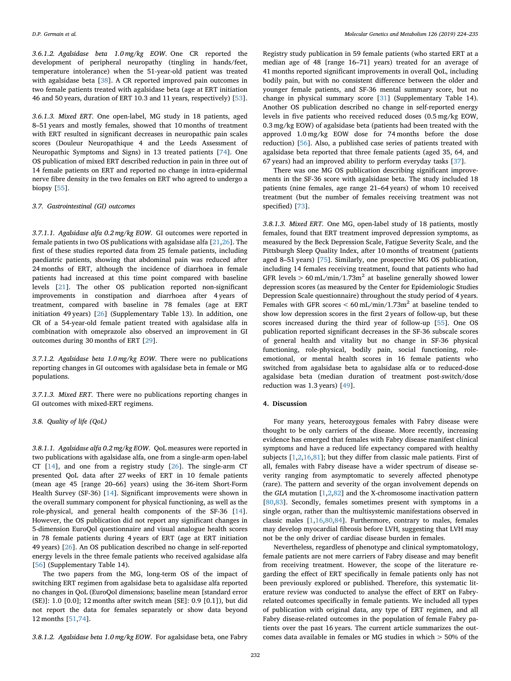*3.6.1.2. Agalsidase beta 1.0 mg/kg EOW*. One CR reported the development of peripheral neuropathy (tingling in hands/feet, temperature intolerance) when the 51-year-old patient was treated with agalsidase beta [\[38](#page-10-42)]. A CR reported improved pain outcomes in two female patients treated with agalsidase beta (age at ERT initiation 46 and 50 years, duration of ERT 10.3 and 11 years, respectively) [\[53](#page-11-21)].

*3.6.1.3. Mixed ERT*. One open-label, MG study in 18 patients, aged 8–51 years and mostly females, showed that 10 months of treatment with ERT resulted in significant decreases in neuropathic pain scales scores (Douleur Neuropathique 4 and the Leeds Assessment of Neuropathic Symptoms and Signs) in 13 treated patients [[74\]](#page-11-4). One OS publication of mixed ERT described reduction in pain in three out of 14 female patients on ERT and reported no change in intra-epidermal nerve fibre density in the two females on ERT who agreed to undergo a biopsy [[55\]](#page-11-32).

#### *3.7. Gastrointestinal (GI) outcomes*

*3.7.1.1. Agalsidase alfa 0.2 mg/kg EOW*. GI outcomes were reported in female patients in two OS publications with agalsidase alfa [[21,](#page-10-44)[26\]](#page-10-20). The first of these studies reported data from 25 female patients, including paediatric patients, showing that abdominal pain was reduced after 24 months of ERT, although the incidence of diarrhoea in female patients had increased at this time point compared with baseline levels [[21\]](#page-10-44). The other OS publication reported non-significant improvements in constipation and diarrhoea after 4 years of treatment, compared with baseline in 78 females (age at ERT initiation 49 years) [[26\]](#page-10-20) (Supplementary Table 13). In addition, one CR of a 54-year-old female patient treated with agalsidase alfa in combination with omeprazole also observed an improvement in GI outcomes during 30 months of ERT [\[29](#page-10-43)].

*3.7.1.2. Agalsidase beta 1.0 mg/kg EOW*. There were no publications reporting changes in GI outcomes with agalsidase beta in female or MG populations.

*3.7.1.3. Mixed ERT*. There were no publications reporting changes in GI outcomes with mixed-ERT regimens.

*3.8. Quality of life (QoL)*

*3.8.1.1. Agalsidase alfa 0.2 mg/kg EOW*. QoL measures were reported in two publications with agalsidase alfa, one from a single-arm open-label CT [[14\]](#page-10-14), and one from a registry study [[26\]](#page-10-20). The single-arm CT presented QoL data after 27 weeks of ERT in 10 female patients (mean age 45 [range 20–66] years) using the 36-item Short-Form Health Survey (SF-36) [[14\]](#page-10-14). Significant improvements were shown in the overall summary component for physical functioning, as well as the role-physical, and general health components of the SF-36 [\[14](#page-10-14)]. However, the OS publication did not report any significant changes in 5-dimension EuroQol questionnaire and visual analogue health scores in 78 female patients during 4 years of ERT (age at ERT initiation 49 years) [\[26](#page-10-20)]. An OS publication described no change in self-reported energy levels in the three female patients who received agalsidase alfa [[56\]](#page-11-2) (Supplementary Table 14).

The two papers from the MG, long-term OS of the impact of switching ERT regimen from agalsidase beta to agalsidase alfa reported no changes in QoL (EuroQol dimensions; baseline mean [standard error (SE)]: 1.0 [0.0]; 12 months after switch mean [SE]: 0.9 [0.1]), but did not report the data for females separately or show data beyond 12 months [\[51](#page-11-1),[74](#page-11-4)].

*3.8.1.2. Agalsidase beta 1.0 mg/kg EOW*. For agalsidase beta, one Fabry

Registry study publication in 59 female patients (who started ERT at a median age of 48 [range 16–71] years) treated for an average of 41 months reported significant improvements in overall QoL, including bodily pain, but with no consistent difference between the older and younger female patients, and SF-36 mental summary score, but no change in physical summary score [[31\]](#page-10-31) (Supplementary Table 14). Another OS publication described no change in self-reported energy levels in five patients who received reduced doses (0.5 mg/kg EOW, 0.3 mg/kg EOW) of agalsidase beta (patients had been treated with the approved 1.0 mg/kg EOW dose for 74 months before the dose reduction) [[56\]](#page-11-2). Also, a published case series of patients treated with agalsidase beta reported that three female patients (aged 35, 64, and 67 years) had an improved ability to perform everyday tasks [[37\]](#page-10-32).

There was one MG OS publication describing significant improvements in the SF-36 score with agalsidase beta. The study included 18 patients (nine females, age range 21–64 years) of whom 10 received treatment (but the number of females receiving treatment was not specified) [[73\]](#page-11-33).

*3.8.1.3. Mixed ERT*. One MG, open-label study of 18 patients, mostly females, found that ERT treatment improved depression symptoms, as measured by the Beck Depression Scale, Fatigue Severity Scale, and the Pittsburgh Sleep Quality Index, after 10 months of treatment (patients aged 8–51 years) [\[75](#page-11-34)]. Similarly, one prospective MG OS publication, including 14 females receiving treatment, found that patients who had GFR levels  $> 60$  mL/min/1.73m<sup>2</sup> at baseline generally showed lower depression scores (as measured by the Center for Epidemiologic Studies Depression Scale questionnaire) throughout the study period of 4 years. Females with GFR scores  $< 60$  mL/min/1.73m<sup>2</sup> at baseline tended to show low depression scores in the first 2 years of follow-up, but these scores increased during the third year of follow-up [[55\]](#page-11-32). One OS publication reported significant decreases in the SF-36 subscale scores of general health and vitality but no change in SF-36 physical functioning, role-physical, bodily pain, social functioning, roleemotional, or mental health scores in 16 female patients who switched from agalsidase beta to agalsidase alfa or to reduced-dose agalsidase beta (median duration of treatment post-switch/dose reduction was 1.3 years) [\[49](#page-11-8)].

#### **4. Discussion**

For many years, heterozygous females with Fabry disease were thought to be only carriers of the disease. More recently, increasing evidence has emerged that females with Fabry disease manifest clinical symptoms and have a reduced life expectancy compared with healthy subjects [\[1](#page-10-0)[,2,](#page-10-1)[16,](#page-10-15)[81](#page-11-35)]; but they differ from classic male patients. First of all, females with Fabry disease have a wider spectrum of disease severity ranging from asymptomatic to severely affected phenotype (rare). The pattern and severity of the organ involvement depends on the *GLA* mutation [\[1,](#page-10-0)[2,](#page-10-1)[82\]](#page-11-36) and the X-chromosome inactivation pattern [[80](#page-11-13)[,83](#page-11-37)]. Secondly, females sometimes present with symptoms in a single organ, rather than the multisystemic manifestations observed in classic males [[1](#page-10-0),[16,](#page-10-15)[80,](#page-11-13)[84](#page-11-38)]. Furthermore, contrary to males, females may develop myocardial fibrosis before LVH, suggesting that LVH may not be the only driver of cardiac disease burden in females.

Nevertheless, regardless of phenotype and clinical symptomatology, female patients are not mere carriers of Fabry disease and may benefit from receiving treatment. However, the scope of the literature regarding the effect of ERT specifically in female patients only has not been previously explored or published. Therefore, this systematic literature review was conducted to analyse the effect of ERT on Fabryrelated outcomes specifically in female patients. We included all types of publication with original data, any type of ERT regimen, and all Fabry disease-related outcomes in the population of female Fabry patients over the past 16 years. The current article summarizes the outcomes data available in females or MG studies in which > 50% of the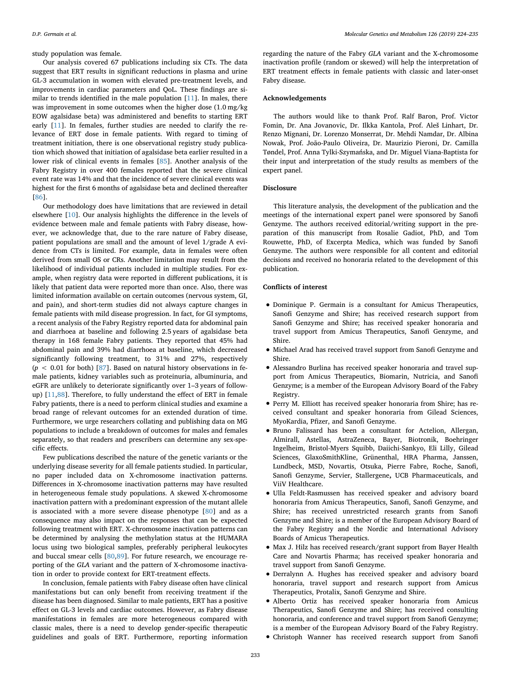study population was female.

Our analysis covered 67 publications including six CTs. The data suggest that ERT results in significant reductions in plasma and urine GL-3 accumulation in women with elevated pre-treatment levels, and improvements in cardiac parameters and QoL. These findings are similar to trends identified in the male population [[11\]](#page-10-10). In males, there was improvement in some outcomes when the higher dose (1.0 mg/kg EOW agalsidase beta) was administered and benefits to starting ERT early [[11\]](#page-10-10). In females, further studies are needed to clarify the relevance of ERT dose in female patients. With regard to timing of treatment initiation, there is one observational registry study publication which showed that initiation of agalsidase beta earlier resulted in a lower risk of clinical events in females [\[85](#page-11-39)]. Another analysis of the Fabry Registry in over 400 females reported that the severe clinical event rate was 14% and that the incidence of severe clinical events was highest for the first 6 months of agalsidase beta and declined thereafter [[86\]](#page-11-40).

Our methodology does have limitations that are reviewed in detail elsewhere [\[10](#page-10-9)]. Our analysis highlights the difference in the levels of evidence between male and female patients with Fabry disease, however, we acknowledge that, due to the rare nature of Fabry disease, patient populations are small and the amount of level 1/grade A evidence from CTs is limited. For example, data in females were often derived from small OS or CRs. Another limitation may result from the likelihood of individual patients included in multiple studies. For example, when registry data were reported in different publications, it is likely that patient data were reported more than once. Also, there was limited information available on certain outcomes (nervous system, GI, and pain), and short-term studies did not always capture changes in female patients with mild disease progression. In fact, for GI symptoms, a recent analysis of the Fabry Registry reported data for abdominal pain and diarrhoea at baseline and following 2.5 years of agalsidase beta therapy in 168 female Fabry patients. They reported that 45% had abdominal pain and 39% had diarrhoea at baseline, which decreased significantly following treatment, to 31% and 27%, respectively  $(p < 0.01$  for both) [\[87](#page-11-41)]. Based on natural history observations in female patients, kidney variables such as proteinuria, albuminuria, and eGFR are unlikely to deteriorate significantly over 1–3 years of followup) [[11,](#page-10-10)[88\]](#page-11-42). Therefore, to fully understand the effect of ERT in female Fabry patients, there is a need to perform clinical studies and examine a broad range of relevant outcomes for an extended duration of time. Furthermore, we urge researchers collating and publishing data on MG populations to include a breakdown of outcomes for males and females separately, so that readers and prescribers can determine any sex-specific effects.

Few publications described the nature of the genetic variants or the underlying disease severity for all female patients studied. In particular, no paper included data on X-chromosome inactivation patterns. Differences in X-chromosome inactivation patterns may have resulted in heterogeneous female study populations. A skewed X-chromosome inactivation pattern with a predominant expression of the mutant allele is associated with a more severe disease phenotype [\[80](#page-11-13)] and as a consequence may also impact on the responses that can be expected following treatment with ERT. X-chromosome inactivation patterns can be determined by analysing the methylation status at the HUMARA locus using two biological samples, preferably peripheral leukocytes and buccal smear cells [[80,](#page-11-13)[89\]](#page-11-43). For future research, we encourage reporting of the *GLA* variant and the pattern of X-chromosome inactivation in order to provide context for ERT-treatment effects.

In conclusion, female patients with Fabry disease often have clinical manifestations but can only benefit from receiving treatment if the disease has been diagnosed. Similar to male patients, ERT has a positive effect on GL-3 levels and cardiac outcomes. However, as Fabry disease manifestations in females are more heterogeneous compared with classic males, there is a need to develop gender-specific therapeutic guidelines and goals of ERT. Furthermore, reporting information

regarding the nature of the Fabry *GLA* variant and the X-chromosome inactivation profile (random or skewed) will help the interpretation of ERT treatment effects in female patients with classic and later-onset Fabry disease.

#### **Acknowledgements**

The authors would like to thank Prof. Ralf Baron, Prof. Victor Fomin, Dr. Ana Jovanovic, Dr. Ilkka Kantola, Prof. Aleš Linhart, Dr. Renzo Mignani, Dr. Lorenzo Monserrat, Dr. Mehdi Namdar, Dr. Albina Nowak, Prof. João-Paulo Oliveira, Dr. Maurizio Pieroni, Dr. Camilla Tøndel, Prof. Anna Tylki-Szymańska, and Dr. Miguel Viana-Baptista for their input and interpretation of the study results as members of the expert panel.

#### **Disclosure**

This literature analysis, the development of the publication and the meetings of the international expert panel were sponsored by Sanofi Genzyme. The authors received editorial/writing support in the preparation of this manuscript from Rosalie Gadiot, PhD, and Tom Rouwette, PhD, of Excerpta Medica, which was funded by Sanofi Genzyme. The authors were responsible for all content and editorial decisions and received no honoraria related to the development of this publication.

#### **Conflicts of interest**

- Dominique P. Germain is a consultant for Amicus Therapeutics, Sanofi Genzyme and Shire; has received research support from Sanofi Genzyme and Shire; has received speaker honoraria and travel support from Amicus Therapeutics, Sanofi Genzyme, and Shire.
- Michael Arad has received travel support from Sanofi Genzyme and Shire.
- Alessandro Burlina has received speaker honoraria and travel support from Amicus Therapeutics, Biomarin, Nutricia, and Sanofi Genzyme; is a member of the European Advisory Board of the Fabry Registry.
- Perry M. Elliott has received speaker honoraria from Shire; has received consultant and speaker honoraria from Gilead Sciences, MyoKardia, Pfizer, and Sanofi Genzyme.
- Bruno Falissard has been a consultant for Actelion, Allergan, Almirall, Astellas, AstraZeneca, Bayer, Biotronik, Boehringer Ingelheim, Bristol-Myers Squibb, Daiichi-Sankyo, Eli Lilly, Gilead Sciences, GlaxoSmithKline, Grünenthal, HRA Pharma, Janssen, Lundbeck, MSD, Novartis, Otsuka, Pierre Fabre, Roche, Sanofi, Sanofi Genzyme, Servier, Stallergene**,** UCB Pharmaceuticals, and ViiV Healthcare.
- Ulla Feldt-Rasmussen has received speaker and advisory board honoraria from Amicus Therapeutics, Sanofi, Sanofi Genzyme, and Shire; has received unrestricted research grants from Sanofi Genzyme and Shire; is a member of the European Advisory Board of the Fabry Registry and the Nordic and International Advisory Boards of Amicus Therapeutics.
- Max J. Hilz has received research/grant support from Bayer Health Care and Novartis Pharma; has received speaker honoraria and travel support from Sanofi Genzyme.
- Derralynn A. Hughes has received speaker and advisory board honoraria, travel support and research support from Amicus Therapeutics, Protalix, Sanofi Genzyme and Shire.
- Alberto Ortiz has received speaker honoraria from Amicus Therapeutics, Sanofi Genzyme and Shire; has received consulting honoraria, and conference and travel support from Sanofi Genzyme; is a member of the European Advisory Board of the Fabry Registry.
- Christoph Wanner has received research support from Sanofi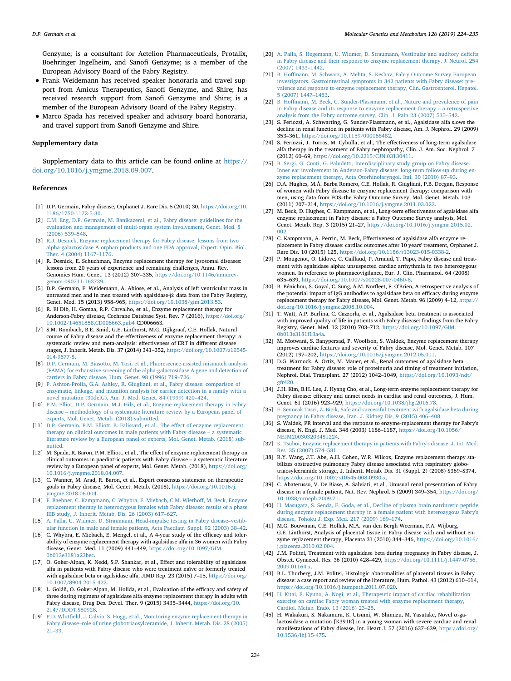Genzyme; is a consultant for Actelion Pharmaceuticals, Protalix, Boehringer Ingelheim, and Sanofi Genzyme; is a member of the European Advisory Board of the Fabry Registry.

- Frank Weidemann has received speaker honoraria and travel support from Amicus Therapeutics, Sanofi Genzyme, and Shire; has received research support from Sanofi Genzyme and Shire; is a member of the European Advisory Board of the Fabry Registry.
- Marco Spada has received speaker and advisory board honoraria, and travel support from Sanofi Genzyme and Shire.

#### **Supplementary data**

Supplementary data to this article can be found online at [https://](https://doi.org/10.1016/j.ymgme.2018.09.007) [doi.org/10.1016/j.ymgme.2018.09.007](https://doi.org/10.1016/j.ymgme.2018.09.007).

#### **References**

- <span id="page-10-0"></span>[1] D.P. Germain, Fabry disease, Orphanet J. Rare Dis. 5 (2010) 30, [https://doi.org/10.](https://doi.org/10.1186/1750-1172-5-30) [1186/1750-1172-5-30.](https://doi.org/10.1186/1750-1172-5-30)
- <span id="page-10-1"></span>[2] [C.M. Eng, D.P. Germain, M. Banikazemi, et al., Fabry disease: guidelines for the](http://refhub.elsevier.com/S1096-7192(18)30192-6/rf0010) [evaluation and management of multi-organ system involvement, Genet. Med. 8](http://refhub.elsevier.com/S1096-7192(18)30192-6/rf0010) [\(2006\) 539–548.](http://refhub.elsevier.com/S1096-7192(18)30192-6/rf0010)
- <span id="page-10-2"></span>[3] [R.J. Desnick, Enzyme replacement therapy for Fabry disease: lessons from two](http://refhub.elsevier.com/S1096-7192(18)30192-6/rf0015) [alpha-galactosidase A orphan products and one FDA approval, Expert. Opin. Biol.](http://refhub.elsevier.com/S1096-7192(18)30192-6/rf0015) [Ther. 4 \(2004\) 1167–1176.](http://refhub.elsevier.com/S1096-7192(18)30192-6/rf0015)
- <span id="page-10-3"></span>[4] R. Desnick, E. Schuchman, Enzyme replacement therapy for lysosomal diseases: lessons from 20 years of experience and remaining challenges, Annu. Rev. Genomics Hum. Genet. 13 (2012) 307–335, [https://doi.org/10.1146/annurev](https://doi.org/10.1146/annurev-genom-090711-163739)[genom-090711-163739.](https://doi.org/10.1146/annurev-genom-090711-163739)
- <span id="page-10-4"></span>[5] D.P. Germain, F. Weidemann, A. Abiose, et al., Analysis of left ventricular mass in untreated men and in men treated with agalsidase-β: data from the Fabry Registry, Genet. Med. 15 (2013) 958–965, [https://doi.org/10.1038/gim.2013.53.](https://doi.org/10.1038/gim.2013.53)
- <span id="page-10-5"></span>[6] R. El Dib, H. Gomaa, R.P. Carvalho, et al., Enzyme replacement therapy for Anderson-Fabry disease, Cochrane Database Syst. Rev. 7 (2016), [https://doi.org/](https://doi.org/10.1002/14651858.CD006663.pub4) [10.1002/14651858.CD006663.pub4](https://doi.org/10.1002/14651858.CD006663.pub4) CD006663.
- <span id="page-10-6"></span>[7] S.M. Rombach, B.E. Smid, G.E. Linthorst, M.G. Dijkgraaf, C.E. Hollak, Natural course of Fabry disease and the effectiveness of enzyme replacement therapy: a systematic review and meta-analysis: effectiveness of ERT in different disease stages, J. Inherit. Metab. Dis. 37 (2014) 341–352, [https://doi.org/10.1007/s10545-](https://doi.org/10.1007/s10545-014-9677-8) [014-9677-8.](https://doi.org/10.1007/s10545-014-9677-8)
- <span id="page-10-7"></span>[8] [D.P. Germain, M. Biasotto, M. Tosi, et al., Fluorescence-assisted mismatch analysis](http://refhub.elsevier.com/S1096-7192(18)30192-6/rf0040) [\(FAMA\) for exhaustive screening of the alpha-galactosidase A gene and detection of](http://refhub.elsevier.com/S1096-7192(18)30192-6/rf0040) [carriers in Fabry disease, Hum. Genet. 98 \(1996\) 719–726.](http://refhub.elsevier.com/S1096-7192(18)30192-6/rf0040)
- <span id="page-10-8"></span>[9] [P. Ashton-Prolla, G.A. Ashley, R. Giugliani, et al., Fabry disease: comparison of](http://refhub.elsevier.com/S1096-7192(18)30192-6/rf0045) [enzymatic, linkage, and mutation analysis for carrier detection in a family with a](http://refhub.elsevier.com/S1096-7192(18)30192-6/rf0045) [novel mutation \(30delG\), Am. J. Med. Genet. 84 \(1999\) 420–424.](http://refhub.elsevier.com/S1096-7192(18)30192-6/rf0045)
- <span id="page-10-9"></span>[10] [P.M. Elliot, D.P. Germain, M.J. Hilz, et al., Enzyme replacement therapy in Fabry](http://refhub.elsevier.com/S1096-7192(18)30192-6/rf0050) [disease – methodology of a systematic literature review by a European panel of](http://refhub.elsevier.com/S1096-7192(18)30192-6/rf0050) [experts, Mol. Genet. Metab. \(2018\) submitted.](http://refhub.elsevier.com/S1096-7192(18)30192-6/rf0050)
- <span id="page-10-10"></span>[11] [D.P. Germain, P.M. Elliott, B. Falissard, et al., The effect of enzyme replacement](http://refhub.elsevier.com/S1096-7192(18)30192-6/rf0055) [therapy on clinical outcomes in male patients with Fabry disease – a systematic](http://refhub.elsevier.com/S1096-7192(18)30192-6/rf0055) [literature review by a European panel of experts, Mol. Genet. Metab. \(2018\) sub](http://refhub.elsevier.com/S1096-7192(18)30192-6/rf0055)[mitted.](http://refhub.elsevier.com/S1096-7192(18)30192-6/rf0055)
- <span id="page-10-11"></span>[12] M. Spada, R. Baron, P.M. Elliott, et al., The effect of enzyme replacement therapy on clinical outcomes in paediatric patients with Fabry disease – a systematic literature review by a European panel of experts, Mol. Genet. Metab. (2018), [https://doi.org/](https://doi.org/10.1016/j.ymgme.2018.04.007) [10.1016/j.ymgme.2018.04.007.](https://doi.org/10.1016/j.ymgme.2018.04.007)
- <span id="page-10-12"></span>[13] C. Wanner, M. Arad, R. Baron, et al., Expert consensus statement on therapeutic goals in Fabry disease, Mol. Genet. Metab. (2018), [https://doi.org/10.1016/j.](https://doi.org/10.1016/j.ymgme.2018.06.004) mgme.2018.06.004.
- <span id="page-10-14"></span>[14] [F. Baehner, C. Kampmann, C. Whybra, E. Miebach, C.M. Wiethoff, M. Beck, Enzyme](http://refhub.elsevier.com/S1096-7192(18)30192-6/rf0070) [replacement therapy in heterozygous females with Fabry disease: results of a phase](http://refhub.elsevier.com/S1096-7192(18)30192-6/rf0070) [IIIB study, J. Inherit. Metab. Dis. 26 \(2003\) 617–627.](http://refhub.elsevier.com/S1096-7192(18)30192-6/rf0070)
- <span id="page-10-29"></span>[15] [A. Palla, U. Widmer, D. Straumann, Head-impulse testing in Fabry disease–vestib](http://refhub.elsevier.com/S1096-7192(18)30192-6/rf0075)[ular function in male and female patients, Acta Paediatr. Suppl. 92 \(2003\) 38–42.](http://refhub.elsevier.com/S1096-7192(18)30192-6/rf0075)
- <span id="page-10-15"></span>[16] C. Whybra, E. Miebach, E. Mengel, et al., A 4-year study of the efficacy and tolerability of enzyme replacement therapy with agalsidase alfa in 36 women with Fabry disease, Genet. Med. 11 (2009) 441–449, [https://doi.org/10.1097/GIM.](https://doi.org/10.1097/GIM.0b013e3181a23bec) [0b013e3181a23bec.](https://doi.org/10.1097/GIM.0b013e3181a23bec)
- <span id="page-10-16"></span>[17] O. Goker-Alpan, K. Nedd, S.P. Shankar, et al., Effect and tolerability of agalsidase alfa in patients with Fabry disease who were treatment naïve or formerly treated with agalsidase beta or agalsidase alfa, JIMD Rep. 23 (2015) 7–15, [https://doi.org/](https://doi.org/10.1007/8904_2015_422) [10.1007/8904\\_2015\\_422.](https://doi.org/10.1007/8904_2015_422)
- <span id="page-10-13"></span>[18] L. Goláň, O. Goker-Alpan, M. Holida, et al., Evaluation of the efficacy and safety of three dosing regimens of agalsidase alfa enzyme replacement therapy in adults with Fabry disease, Drug Des. Devel. Ther. 9 (2015) 3435–3444, [https://doi.org/10.](https://doi.org/10.2147/DDDT.S80928) [2147/DDDT.S80928.](https://doi.org/10.2147/DDDT.S80928)
- <span id="page-10-18"></span>[19] [P.D. Whitfield, J. Calvin, S. Hogg, et al., Monitoring enzyme replacement therapy in](http://refhub.elsevier.com/S1096-7192(18)30192-6/rf0095) [Fabry disease–role of urine globotriaosylceramide, J. Inherit. Metab. Dis. 28 \(2005\)](http://refhub.elsevier.com/S1096-7192(18)30192-6/rf0095) [21–33.](http://refhub.elsevier.com/S1096-7192(18)30192-6/rf0095)
- <span id="page-10-28"></span>[20] [A. Palla, S. Hegemann, U. Widmer, D. Straumann, Vestibular and auditory deficits](http://refhub.elsevier.com/S1096-7192(18)30192-6/rf0100) [in Fabry disease and their response to enzyme replacement therapy, J. Neurol. 254](http://refhub.elsevier.com/S1096-7192(18)30192-6/rf0100) [\(2007\) 1433–1442.](http://refhub.elsevier.com/S1096-7192(18)30192-6/rf0100)
- <span id="page-10-44"></span>[21] [B. Hoffmann, M. Schwarz, A. Mehta, S. Keshav, Fabry Outcome Survey European](http://refhub.elsevier.com/S1096-7192(18)30192-6/rf0105) [investigators. Gastrointestinal symptoms in 342 patients with Fabry disease: pre](http://refhub.elsevier.com/S1096-7192(18)30192-6/rf0105)[valence and response to enzyme replacement therapy, Clin. Gastroenterol. Hepatol.](http://refhub.elsevier.com/S1096-7192(18)30192-6/rf0105) [5 \(2007\) 1447–1453.](http://refhub.elsevier.com/S1096-7192(18)30192-6/rf0105)
- <span id="page-10-30"></span>[22] [B. Hoffmann, M. Beck, G. Sunder-Plassmann, et al., Nature and prevalence of pain](http://refhub.elsevier.com/S1096-7192(18)30192-6/rf0110) [in Fabry disease and its response to enzyme replacement therapy – a retrospective](http://refhub.elsevier.com/S1096-7192(18)30192-6/rf0110) [analysis from the Fabry outcome survey, Clin. J. Pain 23 \(2007\) 535–542.](http://refhub.elsevier.com/S1096-7192(18)30192-6/rf0110)
- <span id="page-10-21"></span>[23] S. Feriozzi, A. Schwarting, G. Sunder-Plassmann, et al., Agalsidase alfa slows the decline in renal function in patients with Fabry disease, Am. J. Nephrol. 29 (2009) 353–361, [https://doi.org/10.1159/000168482.](https://doi.org/10.1159/000168482)
- <span id="page-10-19"></span>[24] S. Feriozzi, J. Torras, M. Cybulla, et al., The effectiveness of long-term agalsidase alfa therapy in the treatment of Fabry nephropathy, Clin. J. Am. Soc. Nephrol. 7 (2012) 60–69, [https://doi.org/10.2215/CJN.03130411.](https://doi.org/10.2215/CJN.03130411)
- <span id="page-10-27"></span>[25] [B. Sergi, G. Conti, G. Paludetti, Interdisciplinary study group on Fabry disease.](http://refhub.elsevier.com/S1096-7192(18)30192-6/rf0125) [Inner ear involvement in Anderson-Fabry disease: long-term follow-up during en](http://refhub.elsevier.com/S1096-7192(18)30192-6/rf0125)[zyme replacement therapy, Acta Otorhinolaryngol. Ital. 30 \(2010\) 87–93.](http://refhub.elsevier.com/S1096-7192(18)30192-6/rf0125)
- <span id="page-10-20"></span>[26] D.A. Hughes, M.Á. Barba Romero, C.E. Hollak, R. Giugliani, P.B. Deegan, Response of women with Fabry disease to enzyme replacement therapy: comparison with men, using data from FOS–the Fabry Outcome Survey, Mol. Genet. Metab. 103 (2011) 207–214, [https://doi.org/10.1016/j.ymgme.2011.03.022.](https://doi.org/10.1016/j.ymgme.2011.03.022)
- <span id="page-10-22"></span>[27] M. Beck, D. Hughes, C. Kampmann, et al., Long-term effectiveness of agalsidase alfa enzyme replacement in Fabry disease: a Fabry Outcome Survey analysis, Mol. Genet. Metab. Rep. 3 (2015) 21–27, [https://doi.org/10.1016/j.ymgmr.2015.02.](https://doi.org/10.1016/j.ymgmr.2015.02.002) [002.](https://doi.org/10.1016/j.ymgmr.2015.02.002)
- <span id="page-10-23"></span>[28] C. Kampmann, A. Perrin, M. Beck, Effectiveness of agalsidase alfa enzyme replacement in Fabry disease: cardiac outcomes after 10 years' treatment, Orphanet J. Rare Dis. 10 (2015) 125, [https://doi.org/10.1186/s13023-015-0338-2.](https://doi.org/10.1186/s13023-015-0338-2)
- <span id="page-10-43"></span>[29] P. Mougenot, O. Lidove, C. Caillaud, P. Arnaud, T. Papo, Fabry disease and treatment with agalsidase alpha: unsuspected cardiac arrhythmia in two heterozygous women. In reference to pharmacovigilance, Eur. J. Clin. Pharmacol. 64 (2008) 635–639, [https://doi.org/10.1007/s00228-007-0460-8.](https://doi.org/10.1007/s00228-007-0460-8)
- <span id="page-10-17"></span>[30] B. Bénichou, S. Goyal, C. Sung, A.M. Norfleet, F. O'Brien, A retrospective analysis of the potential impact of IgG antibodies to agalsidase beta on efficacy during enzyme replacement therapy for Fabry disease, Mol. Genet. Metab. 96 (2009) 4–12, [https://](https://doi.org/10.1016/j.ymgme.2008.10.004) [doi.org/10.1016/j.ymgme.2008.10.004.](https://doi.org/10.1016/j.ymgme.2008.10.004)
- <span id="page-10-31"></span>[31] T. Watt, A.P. Burlina, C. Cazzorla, et al., Agalsidase beta treatment is associated with improved quality of life in patients with Fabry disease: findings from the Fabry Registry, Genet. Med. 12 (2010) 703–712, [https://doi.org/10.1097/GIM.](https://doi.org/10.1097/GIM.0b013e3181f13a4a) [0b013e3181f13a4a.](https://doi.org/10.1097/GIM.0b013e3181f13a4a)
- <span id="page-10-26"></span>[32] M. Motwani, S. Banypersad, P. Woolfson, S. Waldek, Enzyme replacement therapy improves cardiac features and severity of Fabry disease, Mol. Genet. Metab. 107 (2012) 197–202, [https://doi.org/10.1016/j.ymgme.2012.05.011.](https://doi.org/10.1016/j.ymgme.2012.05.011)
- <span id="page-10-24"></span>[33] D.G. Warnock, A. Ortiz, M. Mauer, et al., Renal outcomes of agalsidase beta treatment for Fabry disease: role of proteinuria and timing of treatment initiation, Nephrol. Dial. Transplant. 27 (2012) 1042–1049, [https://doi.org/10.1093/ndt/](https://doi.org/10.1093/ndt/gfr420) [gfr420.](https://doi.org/10.1093/ndt/gfr420)
- <span id="page-10-25"></span>[34] J.H. Kim, B.H. Lee, J. Hyang Cho, et al., Long-term enzyme replacement therapy for Fabry disease: efficacy and unmet needs in cardiac and renal outcomes, J. Hum. Genet. 61 (2016) 923–929, [https://doi.org/10.1038/jhg.2016.78.](https://doi.org/10.1038/jhg.2016.78)
- <span id="page-10-38"></span>[35] [E. Senocak Tasci, Z. Bicik, Safe and successful treatment with agalsidase beta during](http://refhub.elsevier.com/S1096-7192(18)30192-6/rf0175) egnancy in Fabry disease, Iran. J. Kidney Dis. 9 (2015) 406-408.
- <span id="page-10-33"></span>[36] S. Waldek, PR interval and the response to enzyme-replacement therapy for Fabry's disease, N. Engl. J. Med. 348 (2003) 1186–1187, [https://doi.org/10.1056/](https://doi.org/10.1056/NEJM200303203481224) [NEJM200303203481224.](https://doi.org/10.1056/NEJM200303203481224)
- <span id="page-10-32"></span>[37] [K. Tsuboi, Enzyme replacement therapy in patients with Fabry's disease, J. Int. Med.](http://refhub.elsevier.com/S1096-7192(18)30192-6/rf0185) [Res. 35 \(2007\) 574–581.](http://refhub.elsevier.com/S1096-7192(18)30192-6/rf0185)
- <span id="page-10-42"></span>[38] R.Y. Wang, J.T. Abe, A.H. Cohen, W.R. Wilcox, Enzyme replacement therapy stabilizes obstructive pulmonary Fabry disease associated with respiratory globotriaosylceramide storage, J. Inherit. Metab. Dis. 31 (Suppl. 2) (2008) S369–S374, [https://doi.org/10.1007/s10545-008-0930-x.](https://doi.org/10.1007/s10545-008-0930-x)
- <span id="page-10-36"></span>[39] C. Abaterusso, V. De Biase, A. Salviati, et al., Unusual renal presentation of Fabry disease in a female patient, Nat. Rev. Nephrol. 5 (2009) 349–354, [https://doi.org/](https://doi.org/10.1038/nrneph.2009.71) [10.1038/nrneph.2009.71.](https://doi.org/10.1038/nrneph.2009.71)
- <span id="page-10-41"></span>[40] [H. Masugata, S. Senda, F. Goda, et al., Decline of plasma brain natriuretic peptide](http://refhub.elsevier.com/S1096-7192(18)30192-6/rf0200) [during enzyme replacement therapy in a female patient with heterozygous Fabry's](http://refhub.elsevier.com/S1096-7192(18)30192-6/rf0200) [disease, Tohoku J. Exp. Med. 217 \(2009\) 169–174.](http://refhub.elsevier.com/S1096-7192(18)30192-6/rf0200)
- <span id="page-10-34"></span>[41] M.G. Bouwman, C.E. Hollak, M.A. van den Bergh Weerman, F.A. Wijburg, G.E. Linthorst, Analysis of placental tissue in Fabry disease with and without enzyme replacement therapy, Placenta 31 (2010) 344–346, [https://doi.org/10.1016/](https://doi.org/10.1016/j.placenta.2010.02.004) [j.placenta.2010.02.004.](https://doi.org/10.1016/j.placenta.2010.02.004)
- <span id="page-10-37"></span>[42] J.M. Politei, Treatment with agalsidase beta during pregnancy in Fabry disease, J. Obstet. Gynaecol. Res. 36 (2010) 428–429, [https://doi.org/10.1111/j.1447-0756.](https://doi.org/10.1111/j.1447-0756.2009.01164.x) [2009.01164.x.](https://doi.org/10.1111/j.1447-0756.2009.01164.x)
- <span id="page-10-35"></span>[43] B.L. Thurberg, J.M. Politei, Histologic abnormalities of placental tissues in Fabry disease: a case report and review of the literature, Hum. Pathol. 43 (2012) 610–614, [https://doi.org/10.1016/j.humpath.2011.07.020.](https://doi.org/10.1016/j.humpath.2011.07.020)
- <span id="page-10-40"></span>[44] [H. Kitai, E. Kyuno, A. Nogi, et al., Therapeutic impact of cardiac rehabilitation](http://refhub.elsevier.com/S1096-7192(18)30192-6/rf0220) [exercise on cardiac Fabry woman treated with enzyme replacement therapy,](http://refhub.elsevier.com/S1096-7192(18)30192-6/rf0220) [Cardiol. Metab. Endo. 13 \(2016\) 23–25.](http://refhub.elsevier.com/S1096-7192(18)30192-6/rf0220)
- <span id="page-10-39"></span>[45] H. Wakakuri, S. Nakamura, K. Utsumi, W. Shimizu, M. Yasutake, Novel α-galactosidase a mutation [K391E] in a young woman with severe cardiac and renal manifestations of Fabry disease, Int. Heart J. 57 (2016) 637–639, [https://doi.org/](https://doi.org/10.1536/ihj.15-475) [10.1536/ihj.15-475.](https://doi.org/10.1536/ihj.15-475)